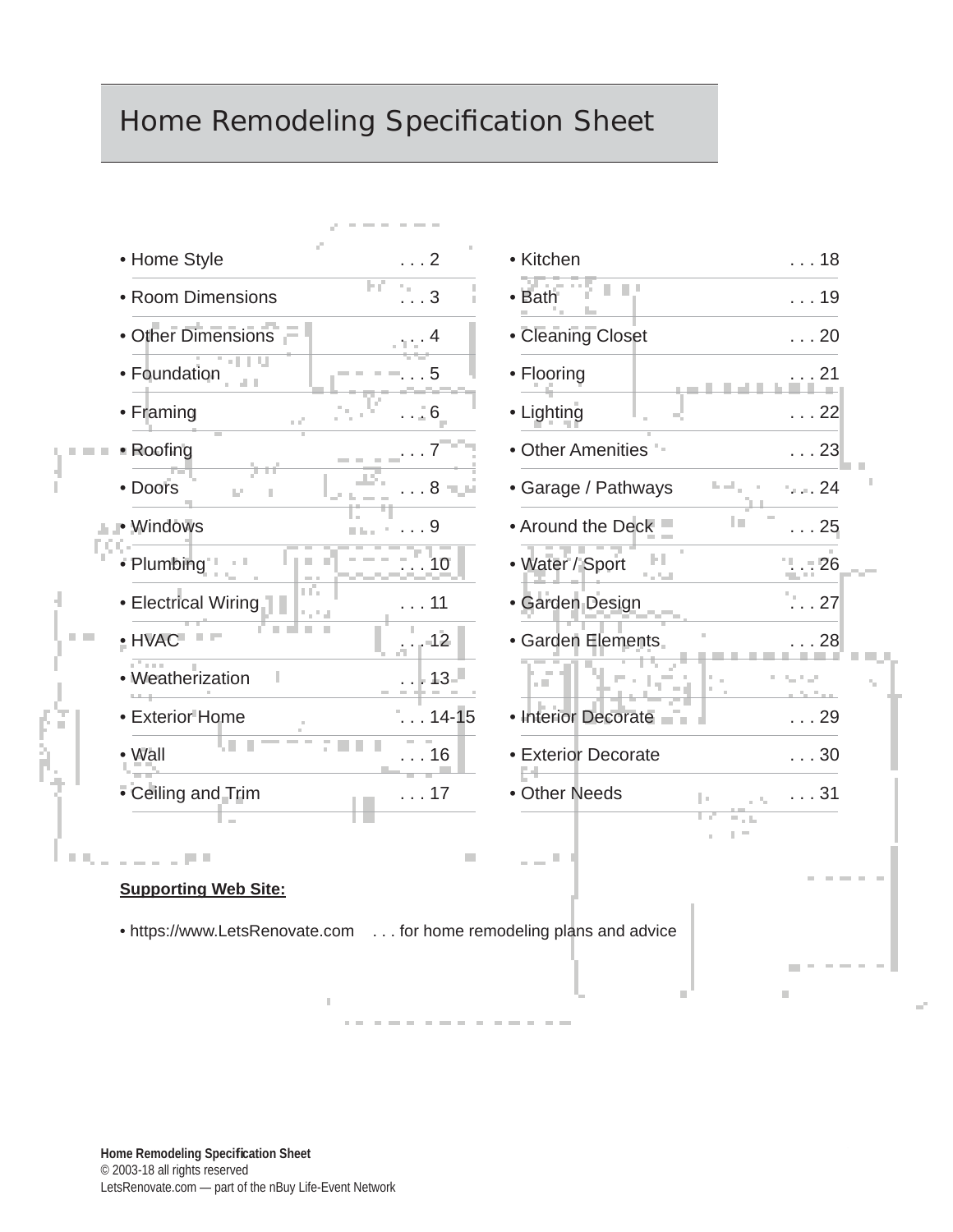#### Home Remodeling Specification Sheet

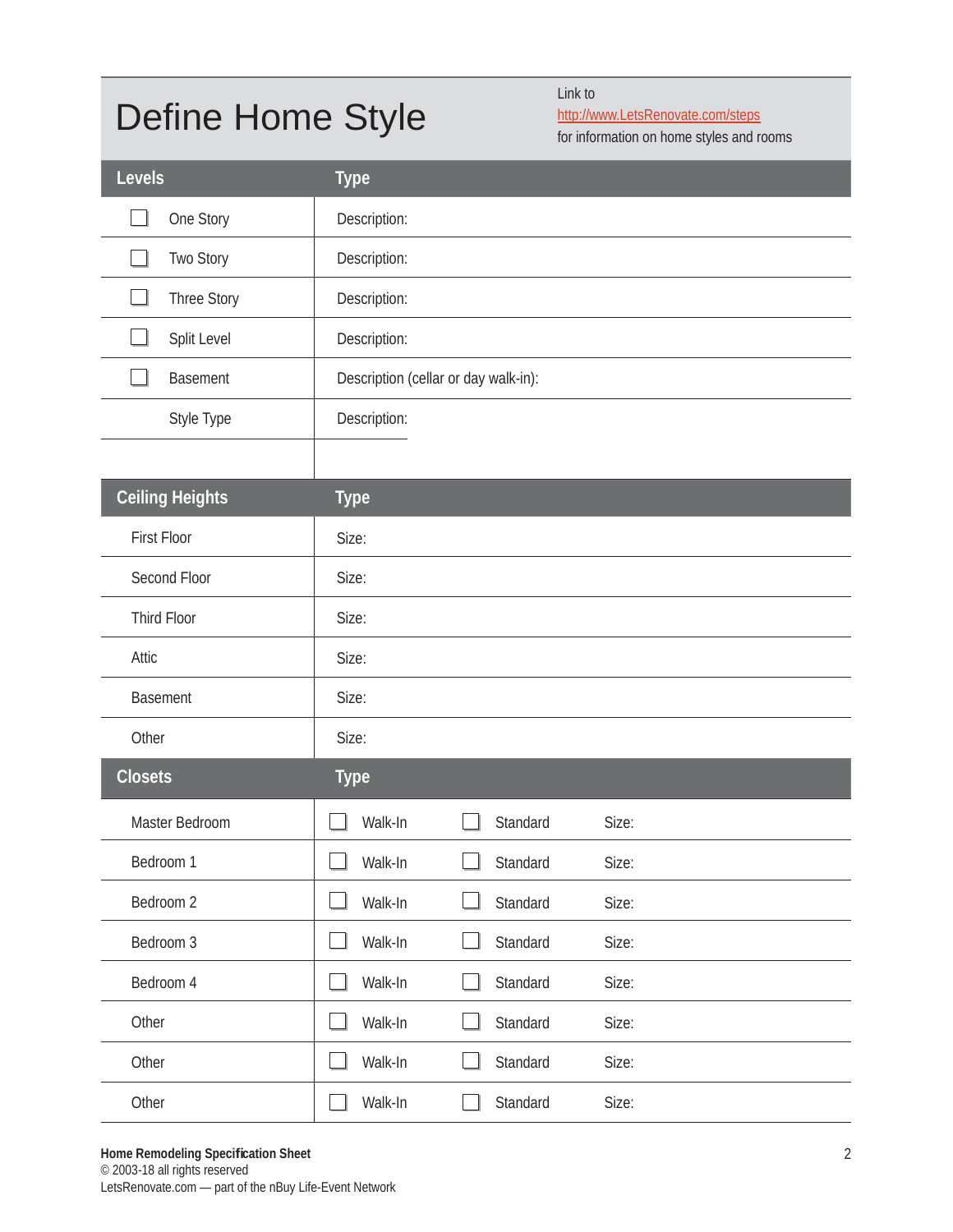### Define Home Style

Link to

http://www.LetsRenovate.com/steps

for information on home styles and rooms

| Levels                 | <b>Type</b>                          |
|------------------------|--------------------------------------|
| One Story              | Description:                         |
| Two Story              | Description:                         |
| Three Story            | Description:                         |
| Split Level            | Description:                         |
| Basement               | Description (cellar or day walk-in): |
| Style Type             | Description:                         |
|                        |                                      |
| <b>Ceiling Heights</b> | <b>Type</b>                          |
| <b>First Floor</b>     | Size:                                |
| Second Floor           | Size:                                |
| Third Floor            | Size:                                |
| Attic                  | Size:                                |
| <b>Basement</b>        | Size:                                |
| Other                  | Size:                                |
| <b>Closets</b>         | <b>Type</b>                          |
| Master Bedroom         | Walk-In<br>Standard<br>Size:         |
| Bedroom 1              | Walk-In<br>Standard<br>Size:         |
| Bedroom 2              | Walk-In<br>Standard<br>Size:         |
| Bedroom 3              | Walk-In<br>Standard<br>Size:         |
| Bedroom 4              | Walk-In<br>Standard<br>Size:         |
| Other                  | Walk-In<br>Standard<br>Size:         |
| Other                  | Walk-In<br>Standard<br>Size:         |
| Other                  | Walk-In<br>Standard<br>Size:         |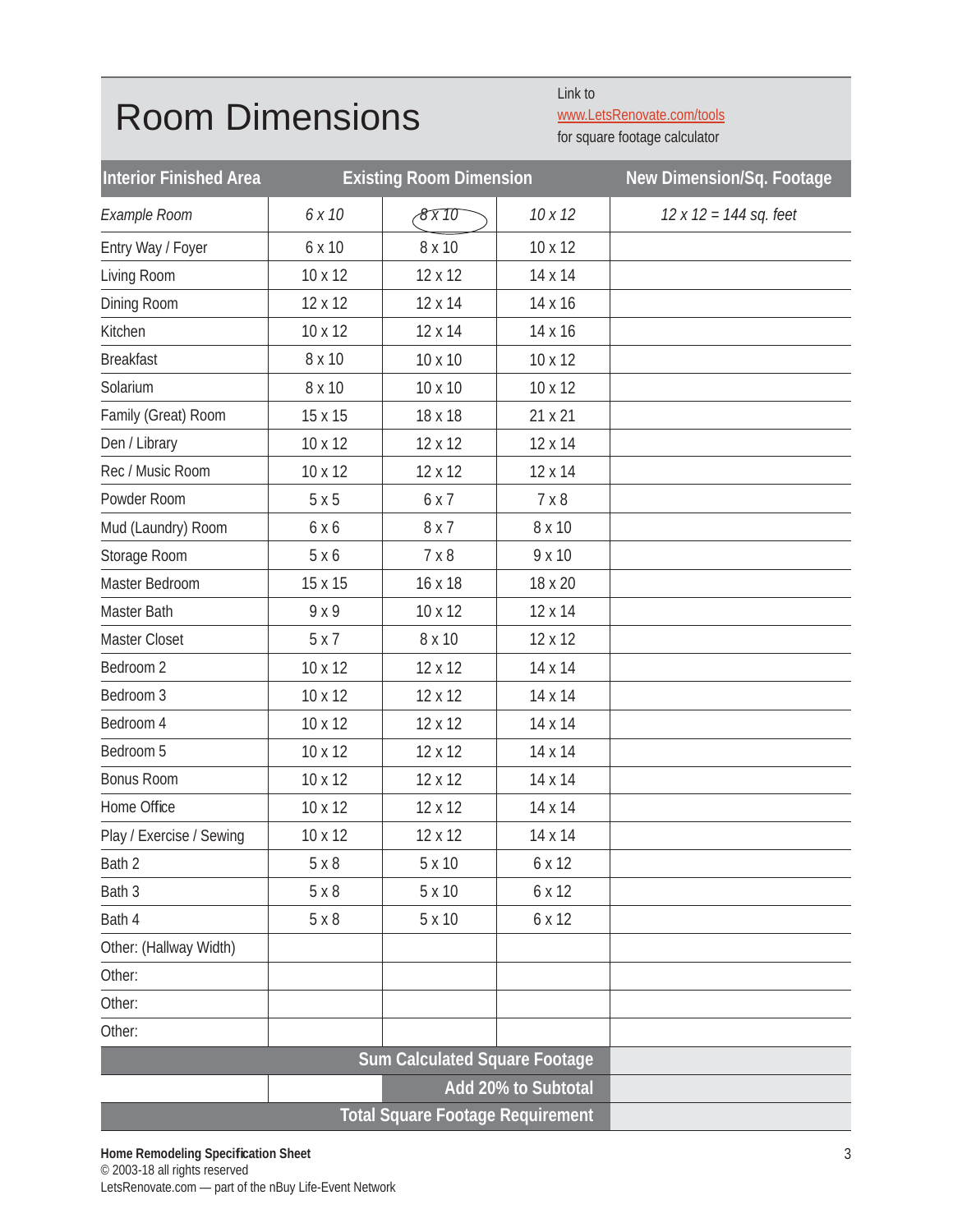#### Room Dimensions

Link to www.LetsRenovate.com/tools

for square footage calculator

| <b>Interior Finished Area</b><br><b>Existing Room Dimension</b> |         |                                      | New Dimension/Sq. Footage |                        |
|-----------------------------------------------------------------|---------|--------------------------------------|---------------------------|------------------------|
| Example Room                                                    | 6 x 10  | 8x10                                 | 10x12                     | 12 x 12 = 144 sq. feet |
| Entry Way / Foyer                                               | 6 x 10  | 8 x 10                               | $10 \times 12$            |                        |
| Living Room                                                     | 10 x 12 | 12 x 12                              | 14 x 14                   |                        |
| Dining Room                                                     | 12 x 12 | 12 x 14                              | 14 x 16                   |                        |
| Kitchen                                                         | 10 x 12 | 12 x 14                              | 14 x 16                   |                        |
| <b>Breakfast</b>                                                | 8 x 10  | 10 x 10                              | 10 x 12                   |                        |
| Solarium                                                        | 8 x 10  | 10 x 10                              | 10 x 12                   |                        |
| Family (Great) Room                                             | 15 x 15 | 18 x 18                              | 21 x 21                   |                        |
| Den / Library                                                   | 10 x 12 | 12 x 12                              | 12 x 14                   |                        |
| Rec / Music Room                                                | 10 x 12 | 12 x 12                              | 12 x 14                   |                        |
| Powder Room                                                     | 5x5     | 6 x 7                                | 7 × 8                     |                        |
| Mud (Laundry) Room                                              | 6 x 6   | 8 x 7                                | 8 x 10                    |                        |
| Storage Room                                                    | 5 x 6   | 7 × 8                                | 9 x 10                    |                        |
| Master Bedroom                                                  | 15 x 15 | 16 x 18                              | 18 x 20                   |                        |
| Master Bath                                                     | 9 x 9   | 10 x 12                              | 12 x 14                   |                        |
| Master Closet                                                   | 5x7     | 8 x 10                               | 12 x 12                   |                        |
| Bedroom 2                                                       | 10 x 12 | 12 x 12                              | 14 x 14                   |                        |
| Bedroom 3                                                       | 10 x 12 | 12 x 12                              | 14 x 14                   |                        |
| Bedroom 4                                                       | 10 x 12 | 12 x 12                              | 14 x 14                   |                        |
| Bedroom 5                                                       | 10 x 12 | 12 x 12                              | 14 x 14                   |                        |
| <b>Bonus Room</b>                                               | 10 x 12 | 12 x 12                              | 14 x 14                   |                        |
| Home Office                                                     | 10 x 12 | 12 x 12                              | 14 x 14                   |                        |
| Play / Exercise / Sewing                                        | 10 x 12 | 12 x 12                              | 14 x 14                   |                        |
| Bath 2                                                          | 5x8     | 5 x 10                               | 6 x 12                    |                        |
| Bath 3                                                          | 5x8     | 5 x 10                               | 6 x 12                    |                        |
| Bath 4                                                          | 5x8     | 5 x 10                               | 6 x 12                    |                        |
| Other: (Hallway Width)                                          |         |                                      |                           |                        |
| Other:                                                          |         |                                      |                           |                        |
| Other:                                                          |         |                                      |                           |                        |
| Other:                                                          |         |                                      |                           |                        |
|                                                                 |         | <b>Sum Calculated Square Footage</b> |                           |                        |
|                                                                 |         |                                      | Add 20% to Subtotal       |                        |
|                                                                 |         |                                      |                           |                        |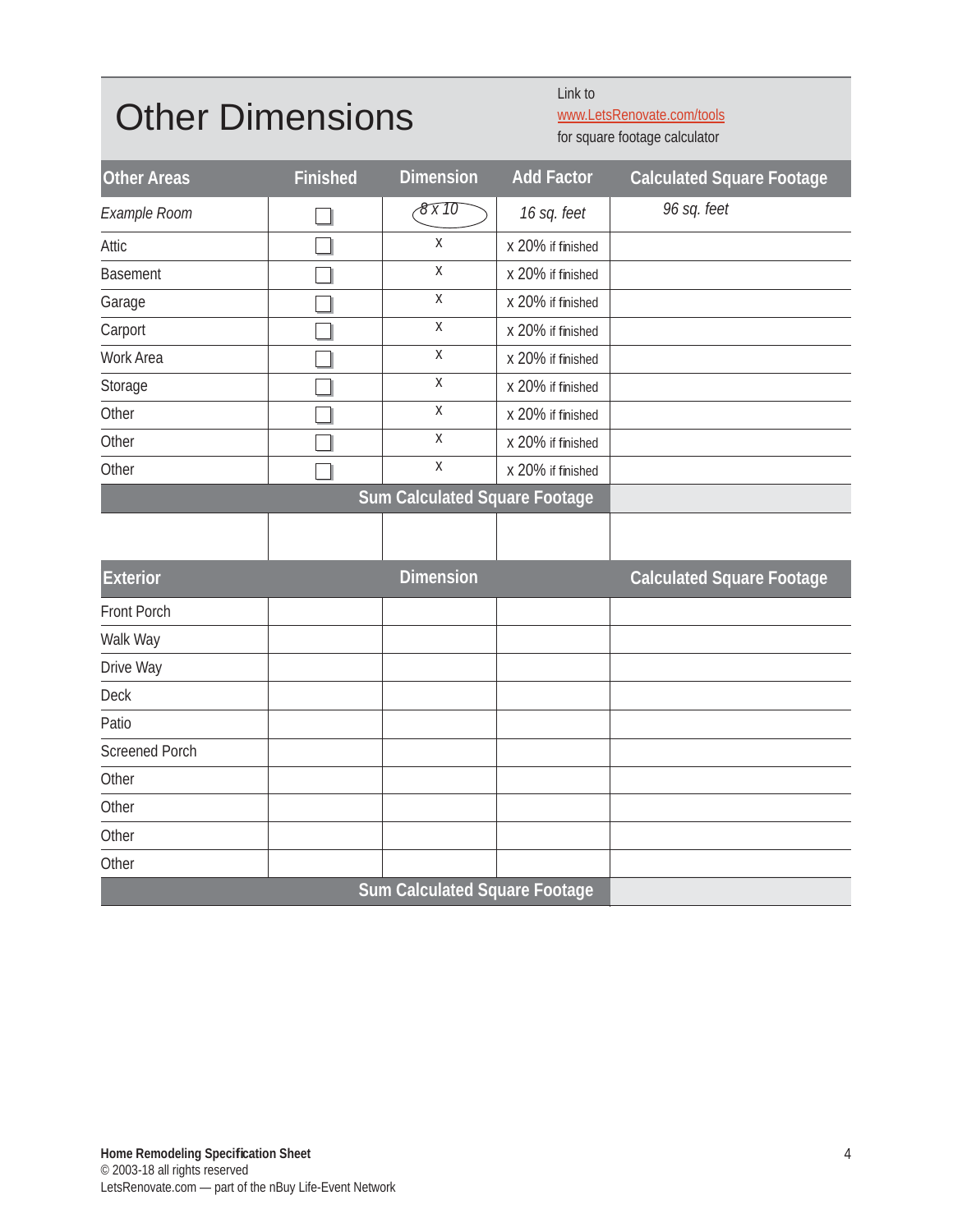#### Other Dimensions

Link to www.LetsRenovate.com/tools

for square footage calculator

| <b>Other Areas</b>    | <b>Finished</b> | <b>Dimension</b>                     | <b>Add Factor</b> | <b>Calculated Square Footage</b> |
|-----------------------|-----------------|--------------------------------------|-------------------|----------------------------------|
| Example Room          |                 | 8 x 10                               | 16 sq. feet       | 96 sq. feet                      |
| Attic                 |                 | X                                    | x 20% if finished |                                  |
| <b>Basement</b>       |                 | $\mathsf X$                          | x 20% if finished |                                  |
| Garage                |                 | $\mathsf X$                          | x 20% if finished |                                  |
| Carport               |                 | $\overline{X}$                       | x 20% if finished |                                  |
| Work Area             |                 | Χ                                    | x 20% if finished |                                  |
| Storage               |                 | $\mathsf{X}$                         | x 20% if finished |                                  |
| Other                 |                 | X                                    | x 20% if finished |                                  |
| Other                 |                 | $\mathsf X$                          | x 20% if finished |                                  |
| Other                 |                 | $\mathsf{X}$                         | x 20% if finished |                                  |
|                       |                 | <b>Sum Calculated Square Footage</b> |                   |                                  |
|                       |                 |                                      |                   |                                  |
| <b>Exterior</b>       |                 | <b>Dimension</b>                     |                   | Calculated Square Footage        |
| Front Porch           |                 |                                      |                   |                                  |
| Walk Way              |                 |                                      |                   |                                  |
| Drive Way             |                 |                                      |                   |                                  |
| Deck                  |                 |                                      |                   |                                  |
| Patio                 |                 |                                      |                   |                                  |
| <b>Screened Porch</b> |                 |                                      |                   |                                  |
| Other                 |                 |                                      |                   |                                  |
| Other                 |                 |                                      |                   |                                  |
| Other                 |                 |                                      |                   |                                  |
| Other                 |                 |                                      |                   |                                  |
|                       |                 | <b>Sum Calculated Square Footage</b> |                   |                                  |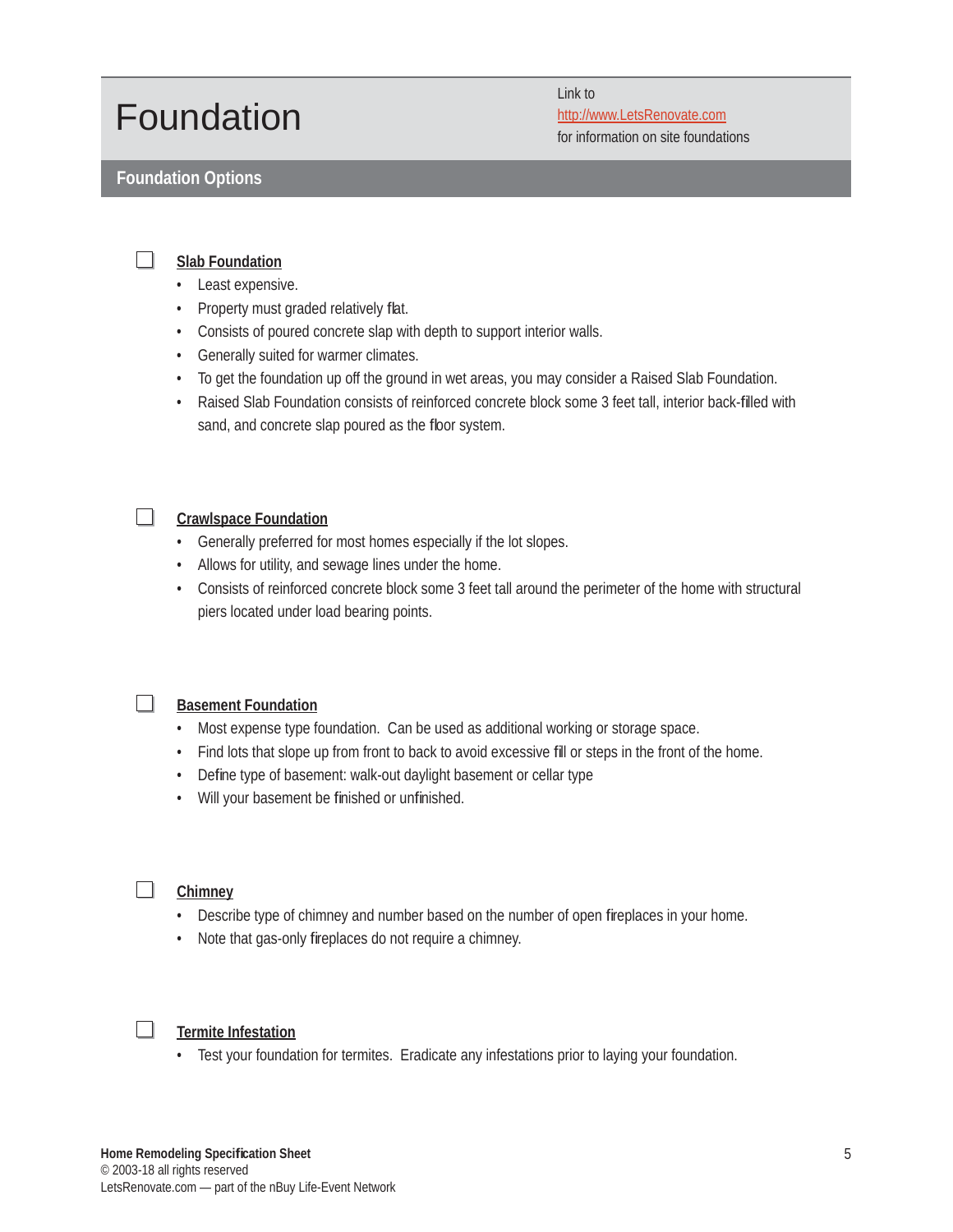#### Foundation

**Foundation Options**

Link to http://www.LetsRenovate.com for information on site foundations

#### $\Box$ **Slab Foundation**

- Least expensive.
- Property must graded relatively flat.
- Consists of poured concrete slap with depth to support interior walls.
- Generally suited for warmer climates.
- To get the foundation up off the ground in wet areas, you may consider a Raised Slab Foundation.
- Raised Slab Foundation consists of reinforced concrete block some 3 feet tall, interior back-filled with sand, and concrete slap poured as the floor system.

#### $\Box$ **Crawlspace Foundation**

- Generally preferred for most homes especially if the lot slopes.
- Allows for utility, and sewage lines under the home.
- Consists of reinforced concrete block some 3 feet tall around the perimeter of the home with structural piers located under load bearing points.



#### **Basement Foundation**

- Most expense type foundation. Can be used as additional working or storage space.
- Find lots that slope up from front to back to avoid excessive fill or steps in the front of the home.
- Define type of basement: walk-out daylight basement or cellar type
- Will your basement be finished or unfinished.



#### **Chimney**

- Describe type of chimney and number based on the number of open fireplaces in your home.
- Note that gas-only fireplaces do not require a chimney.

#### $\Box$ **Termite Infestation**

• Test your foundation for termites. Eradicate any infestations prior to laying your foundation.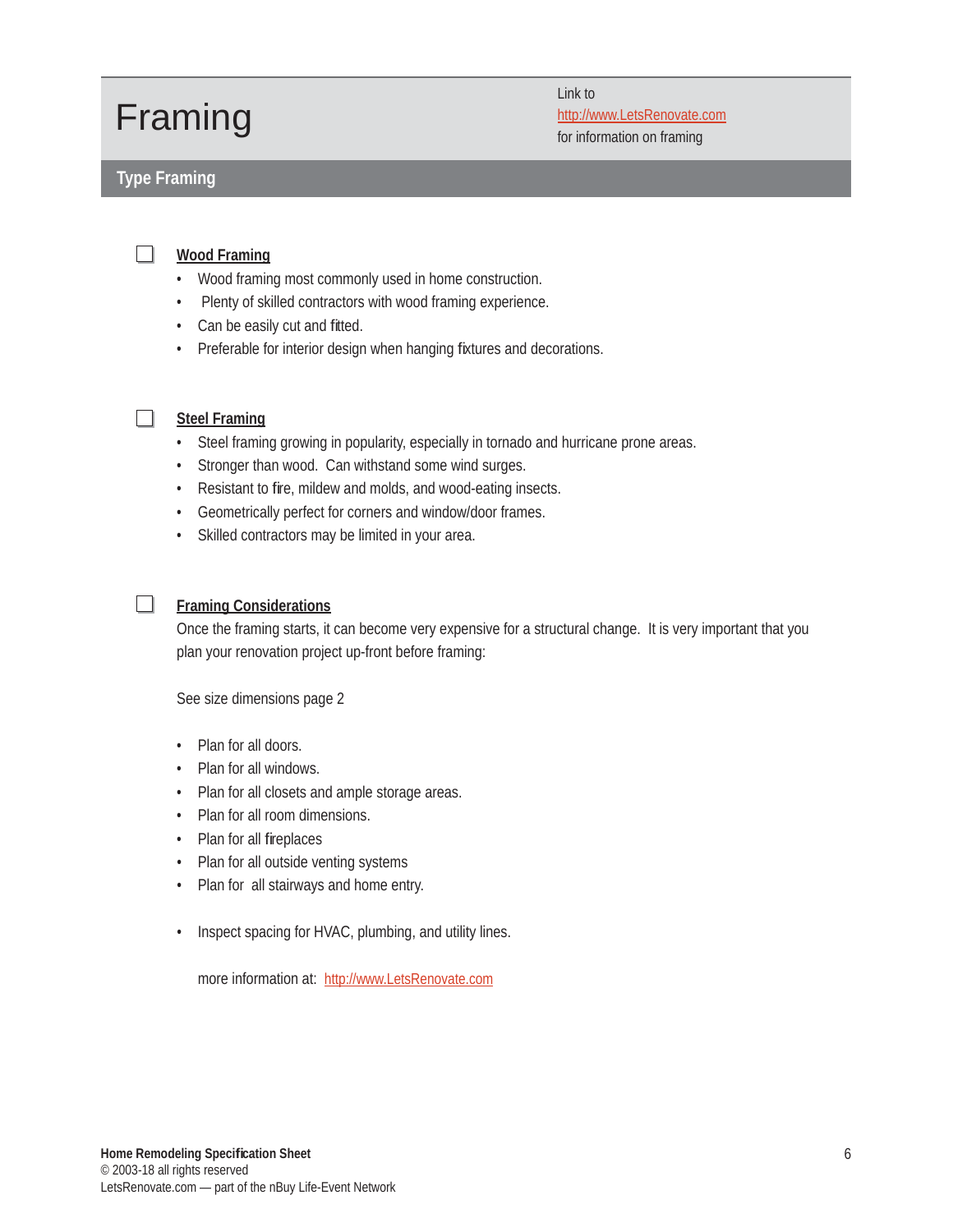#### Framing

#### **Type Framing**

Link to http://www.LetsRenovate.com for information on framing

#### $\Box$ **Wood Framing**

- Wood framing most commonly used in home construction.
- Plenty of skilled contractors with wood framing experience.
- Can be easily cut and fitted.
- Preferable for interior design when hanging fixtures and decorations.
- $\Box$

#### **Steel Framing**

- Steel framing growing in popularity, especially in tornado and hurricane prone areas.
- Stronger than wood. Can withstand some wind surges.
- Resistant to fire, mildew and molds, and wood-eating insects.
- Geometrically perfect for corners and window/door frames.
- Skilled contractors may be limited in your area.

#### $\mathcal{L}^{\mathcal{A}}$  . **Framing Considerations**

Once the framing starts, it can become very expensive for a structural change. It is very important that you plan your renovation project up-front before framing:

See size dimensions page 2

- Plan for all doors.
- Plan for all windows.
- Plan for all closets and ample storage areas.
- Plan for all room dimensions.
- Plan for all fireplaces
- Plan for all outside venting systems
- Plan for all stairways and home entry.
- Inspect spacing for HVAC, plumbing, and utility lines.

more information at: http://www.LetsRenovate.com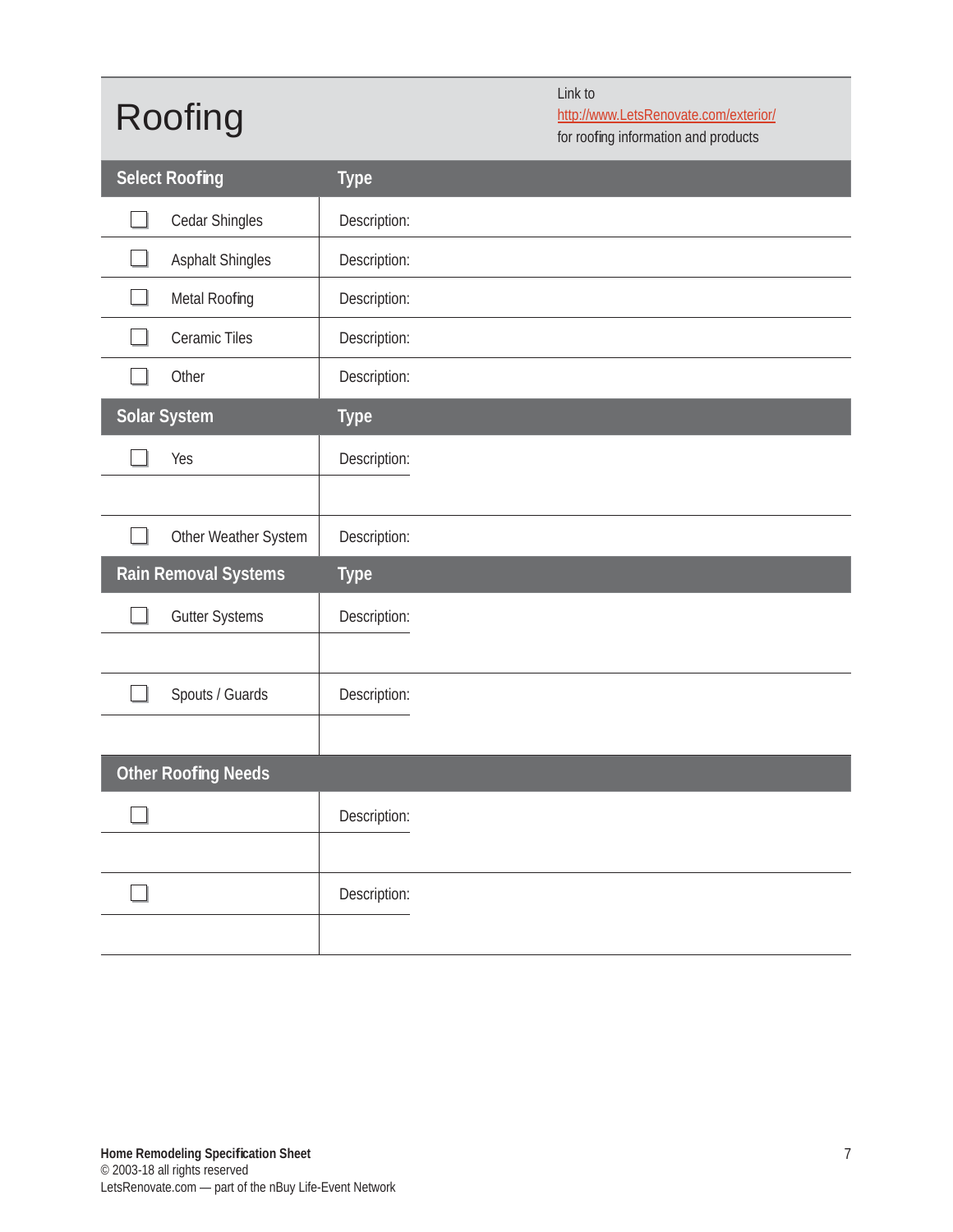### Roofing

Link to

http://www.LetsRenovate.com/exterior/

for roofing information and products

| <b>Select Roofing</b>      | <b>Type</b>  |
|----------------------------|--------------|
| Cedar Shingles             | Description: |
| <b>Asphalt Shingles</b>    | Description: |
| Metal Roofing              | Description: |
| Ceramic Tiles              | Description: |
| Other                      | Description: |
| Solar System               | <b>Type</b>  |
| Yes                        | Description: |
|                            |              |
| Other Weather System       | Description: |
|                            |              |
| Rain Removal Systems       | <b>Type</b>  |
| <b>Gutter Systems</b>      | Description: |
|                            |              |
| Spouts / Guards            | Description: |
|                            |              |
| <b>Other Roofing Needs</b> |              |
|                            | Description: |
|                            |              |
|                            | Description: |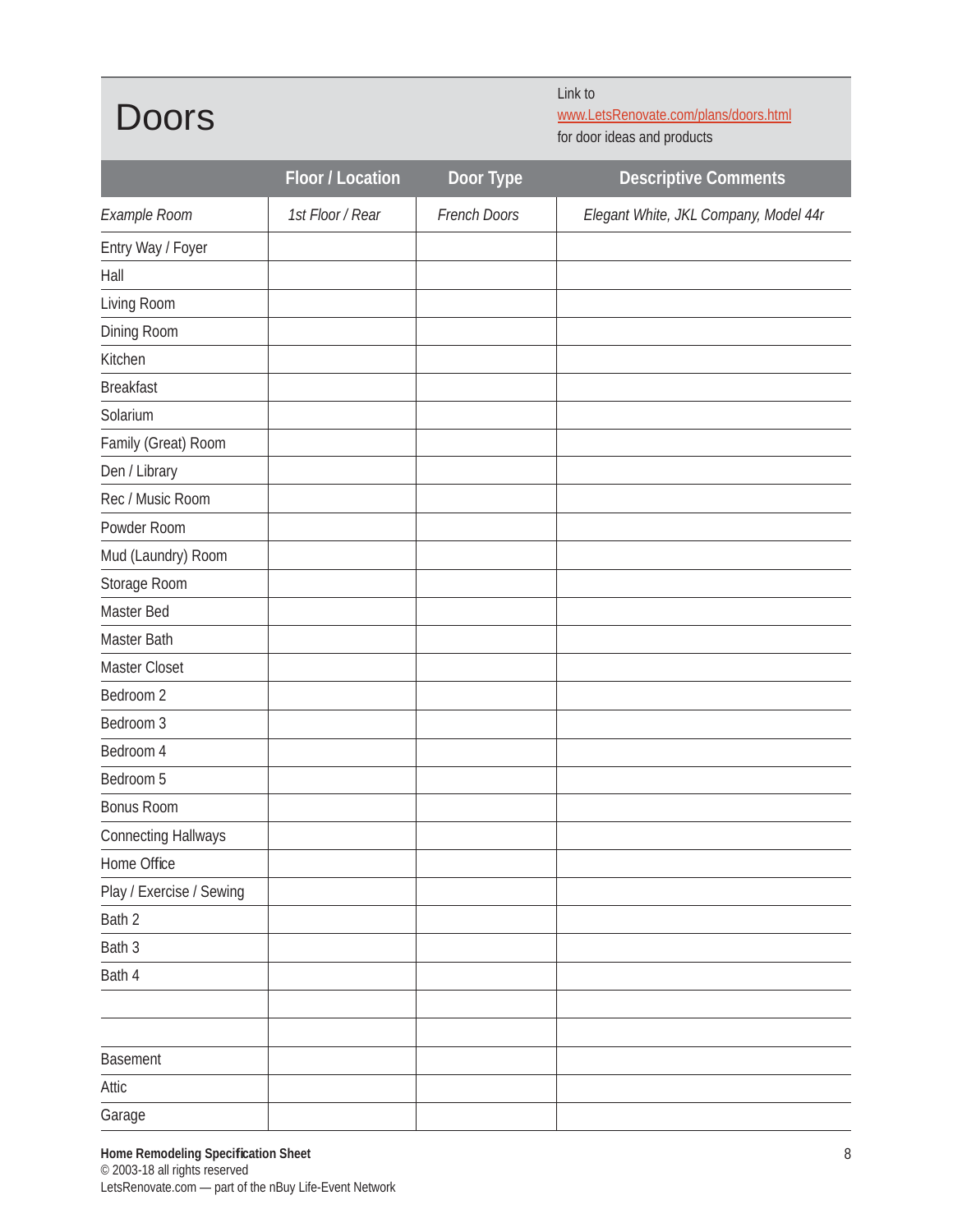Doors

Link to www.LetsRenovate.com/plans/doors.html for door ideas and products

|                            | Floor / Location | Door Type    | <b>Descriptive Comments</b>           |
|----------------------------|------------------|--------------|---------------------------------------|
| Example Room               | 1st Floor / Rear | French Doors | Elegant White, JKL Company, Model 44r |
| Entry Way / Foyer          |                  |              |                                       |
| Hall                       |                  |              |                                       |
| Living Room                |                  |              |                                       |
| Dining Room                |                  |              |                                       |
| Kitchen                    |                  |              |                                       |
| <b>Breakfast</b>           |                  |              |                                       |
| Solarium                   |                  |              |                                       |
| Family (Great) Room        |                  |              |                                       |
| Den / Library              |                  |              |                                       |
| Rec / Music Room           |                  |              |                                       |
| Powder Room                |                  |              |                                       |
| Mud (Laundry) Room         |                  |              |                                       |
| Storage Room               |                  |              |                                       |
| Master Bed                 |                  |              |                                       |
| Master Bath                |                  |              |                                       |
| Master Closet              |                  |              |                                       |
| Bedroom 2                  |                  |              |                                       |
| Bedroom 3                  |                  |              |                                       |
| Bedroom 4                  |                  |              |                                       |
| Bedroom 5                  |                  |              |                                       |
| <b>Bonus Room</b>          |                  |              |                                       |
| <b>Connecting Hallways</b> |                  |              |                                       |
| Home Office                |                  |              |                                       |
| Play / Exercise / Sewing   |                  |              |                                       |
| Bath 2                     |                  |              |                                       |
| Bath 3                     |                  |              |                                       |
| Bath 4                     |                  |              |                                       |
|                            |                  |              |                                       |
|                            |                  |              |                                       |
| Basement                   |                  |              |                                       |
| Attic                      |                  |              |                                       |
| Garage                     |                  |              |                                       |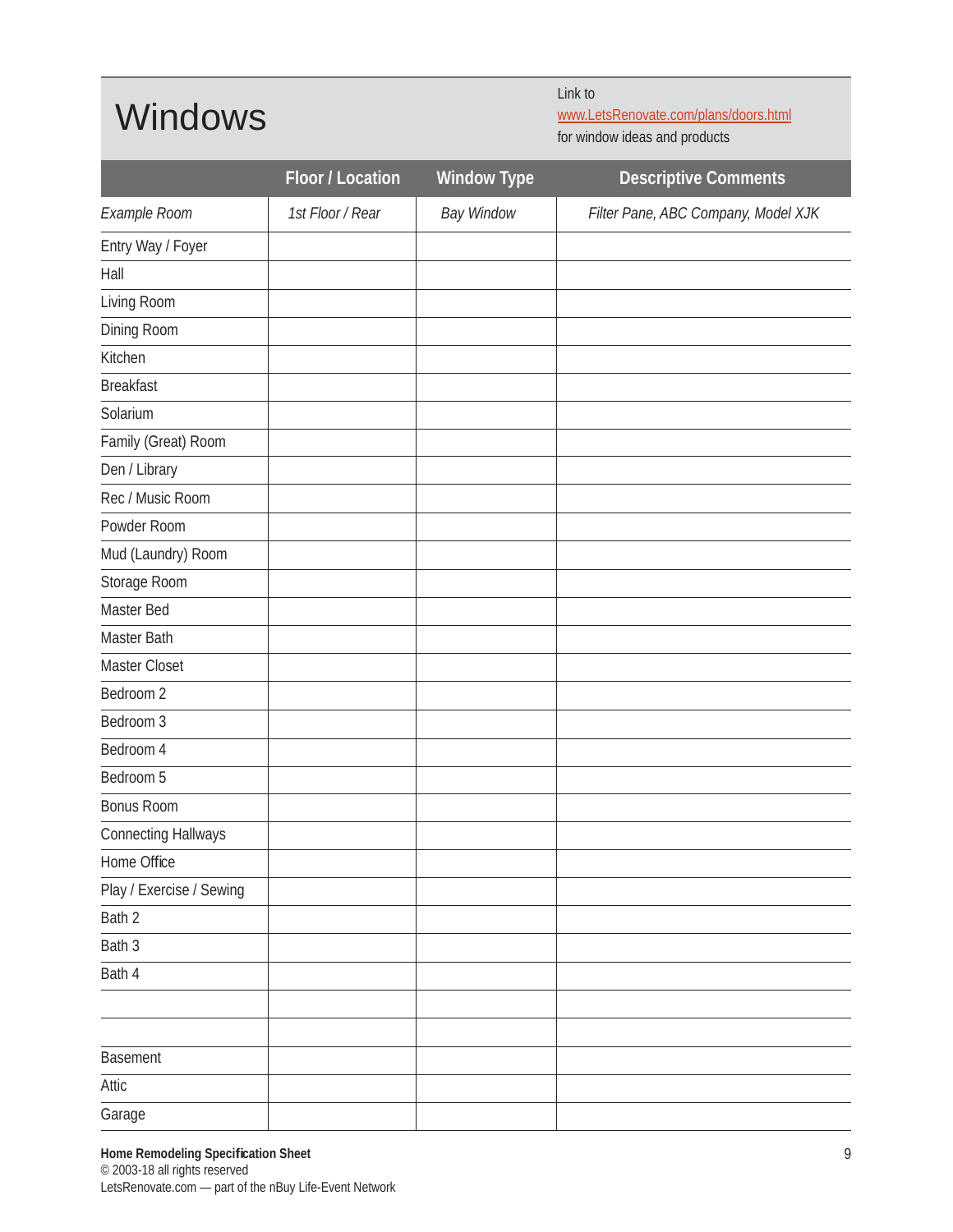#### Windows

Link to

www.LetsRenovate.com/plans/doors.html

for window ideas and products

|                            | Floor / Location | <b>Window Type</b> | <b>Descriptive Comments</b>         |
|----------------------------|------------------|--------------------|-------------------------------------|
| Example Room               | 1st Floor / Rear | <b>Bay Window</b>  | Filter Pane, ABC Company, Model XJK |
| Entry Way / Foyer          |                  |                    |                                     |
| Hall                       |                  |                    |                                     |
| Living Room                |                  |                    |                                     |
| Dining Room                |                  |                    |                                     |
| Kitchen                    |                  |                    |                                     |
| <b>Breakfast</b>           |                  |                    |                                     |
| Solarium                   |                  |                    |                                     |
| Family (Great) Room        |                  |                    |                                     |
| Den / Library              |                  |                    |                                     |
| Rec / Music Room           |                  |                    |                                     |
| Powder Room                |                  |                    |                                     |
| Mud (Laundry) Room         |                  |                    |                                     |
| Storage Room               |                  |                    |                                     |
| Master Bed                 |                  |                    |                                     |
| Master Bath                |                  |                    |                                     |
| Master Closet              |                  |                    |                                     |
| Bedroom 2                  |                  |                    |                                     |
| Bedroom 3                  |                  |                    |                                     |
| Bedroom 4                  |                  |                    |                                     |
| Bedroom 5                  |                  |                    |                                     |
| <b>Bonus Room</b>          |                  |                    |                                     |
| <b>Connecting Hallways</b> |                  |                    |                                     |
| Home Office                |                  |                    |                                     |
| Play / Exercise / Sewing   |                  |                    |                                     |
| Bath 2                     |                  |                    |                                     |
| Bath 3                     |                  |                    |                                     |
| Bath 4                     |                  |                    |                                     |
|                            |                  |                    |                                     |
|                            |                  |                    |                                     |
| <b>Basement</b>            |                  |                    |                                     |
| Attic                      |                  |                    |                                     |
| Garage                     |                  |                    |                                     |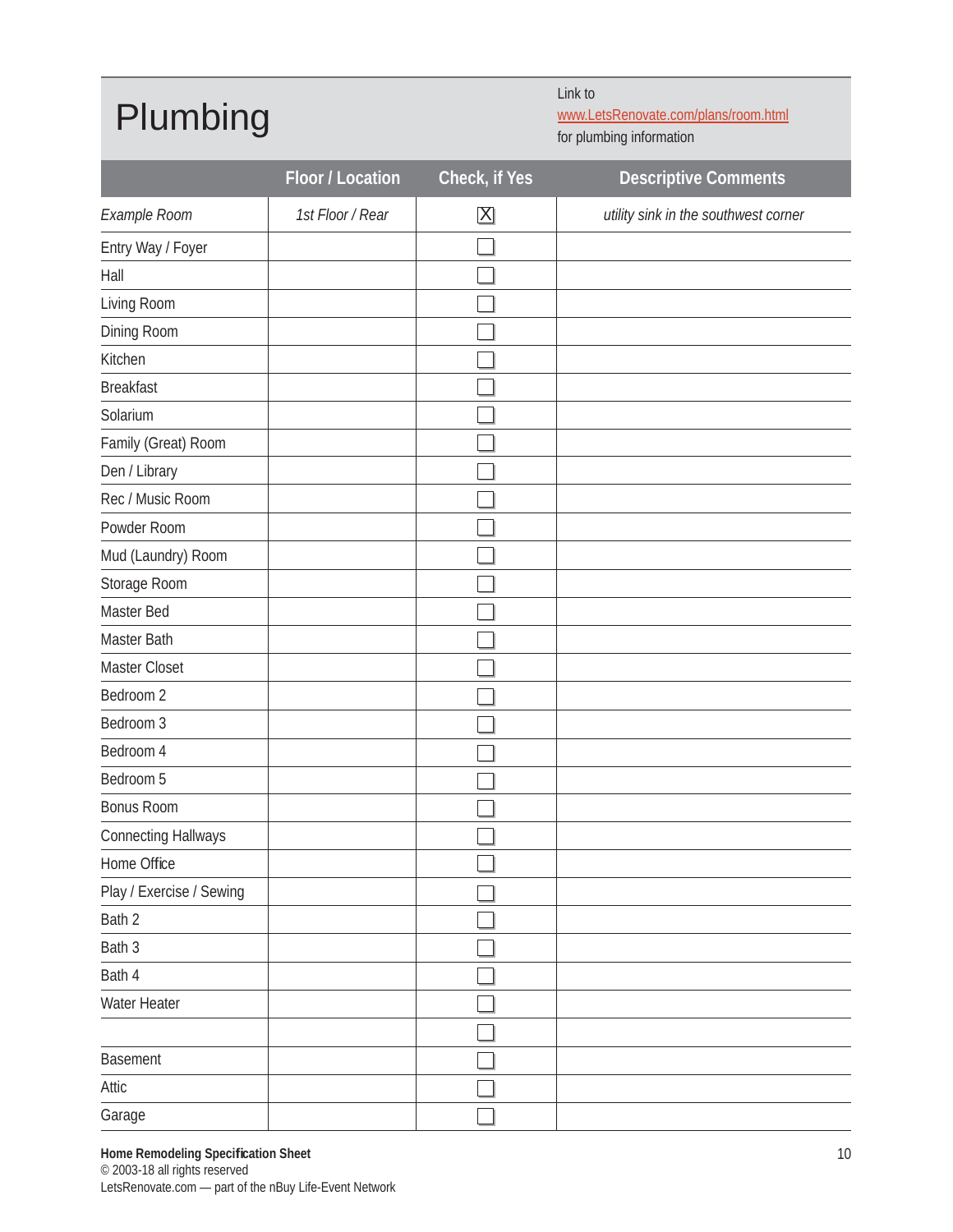#### Plumbing

Link to

www.LetsRenovate.com/plans/room.html for plumbing information

|                            | Floor / Location | Check, if Yes           | <b>Descriptive Comments</b>          |
|----------------------------|------------------|-------------------------|--------------------------------------|
| Example Room               | 1st Floor / Rear | $\overline{\mathbf{X}}$ | utility sink in the southwest corner |
| Entry Way / Foyer          |                  |                         |                                      |
| Hall                       |                  |                         |                                      |
| Living Room                |                  |                         |                                      |
| Dining Room                |                  |                         |                                      |
| Kitchen                    |                  |                         |                                      |
| <b>Breakfast</b>           |                  |                         |                                      |
| Solarium                   |                  |                         |                                      |
| Family (Great) Room        |                  |                         |                                      |
| Den / Library              |                  |                         |                                      |
| Rec / Music Room           |                  |                         |                                      |
| Powder Room                |                  |                         |                                      |
| Mud (Laundry) Room         |                  |                         |                                      |
| Storage Room               |                  |                         |                                      |
| Master Bed                 |                  |                         |                                      |
| Master Bath                |                  |                         |                                      |
| Master Closet              |                  |                         |                                      |
| Bedroom 2                  |                  |                         |                                      |
| Bedroom 3                  |                  |                         |                                      |
| Bedroom 4                  |                  |                         |                                      |
| Bedroom 5                  |                  |                         |                                      |
| <b>Bonus Room</b>          |                  |                         |                                      |
| <b>Connecting Hallways</b> |                  |                         |                                      |
| Home Office                |                  | $\Box$                  |                                      |
| Play / Exercise / Sewing   |                  |                         |                                      |
| Bath 2                     |                  |                         |                                      |
| Bath 3                     |                  |                         |                                      |
| Bath 4                     |                  |                         |                                      |
| Water Heater               |                  |                         |                                      |
|                            |                  |                         |                                      |
| Basement                   |                  |                         |                                      |
| Attic                      |                  |                         |                                      |
| Garage                     |                  |                         |                                      |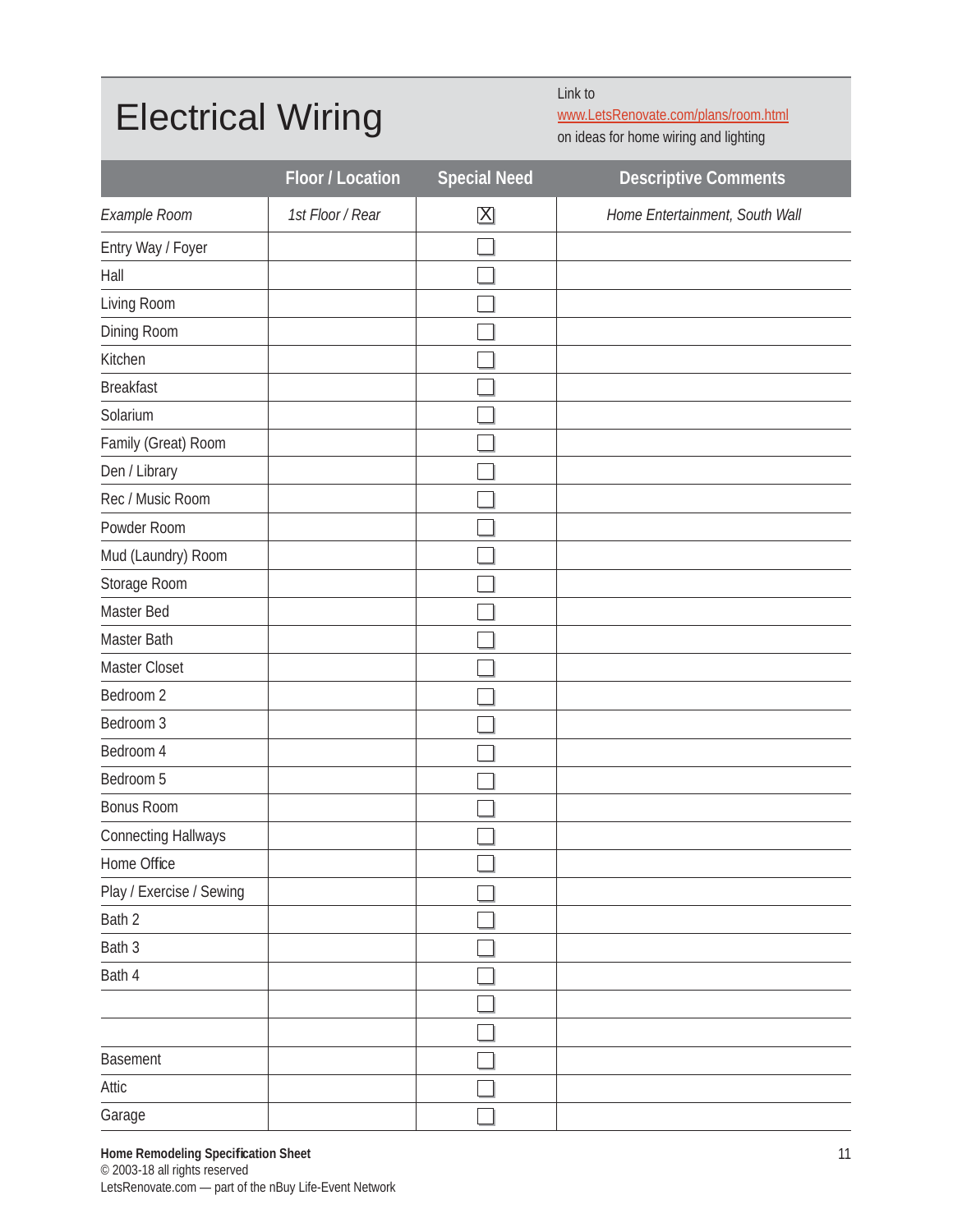#### Electrical Wiring

Link to

www.LetsRenovate.com/plans/room.html

on ideas for home wiring and lighting

|                            | Floor / Location | <b>Special Need</b>     | <b>Descriptive Comments</b>    |
|----------------------------|------------------|-------------------------|--------------------------------|
| Example Room               | 1st Floor / Rear | $\overline{\mathsf{X}}$ | Home Entertainment, South Wall |
| Entry Way / Foyer          |                  |                         |                                |
| Hall                       |                  |                         |                                |
| Living Room                |                  |                         |                                |
| Dining Room                |                  |                         |                                |
| Kitchen                    |                  |                         |                                |
| <b>Breakfast</b>           |                  |                         |                                |
| Solarium                   |                  |                         |                                |
| Family (Great) Room        |                  |                         |                                |
| Den / Library              |                  |                         |                                |
| Rec / Music Room           |                  |                         |                                |
| Powder Room                |                  |                         |                                |
| Mud (Laundry) Room         |                  |                         |                                |
| Storage Room               |                  |                         |                                |
| Master Bed                 |                  |                         |                                |
| Master Bath                |                  |                         |                                |
| Master Closet              |                  |                         |                                |
| Bedroom 2                  |                  |                         |                                |
| Bedroom 3                  |                  |                         |                                |
| Bedroom 4                  |                  |                         |                                |
| Bedroom 5                  |                  |                         |                                |
| <b>Bonus Room</b>          |                  |                         |                                |
| <b>Connecting Hallways</b> |                  |                         |                                |
| Home Office                |                  | П                       |                                |
| Play / Exercise / Sewing   |                  |                         |                                |
| Bath 2                     |                  |                         |                                |
| Bath 3                     |                  |                         |                                |
| Bath 4                     |                  |                         |                                |
|                            |                  |                         |                                |
|                            |                  |                         |                                |
| Basement                   |                  |                         |                                |
| Attic                      |                  |                         |                                |
| Garage                     |                  |                         |                                |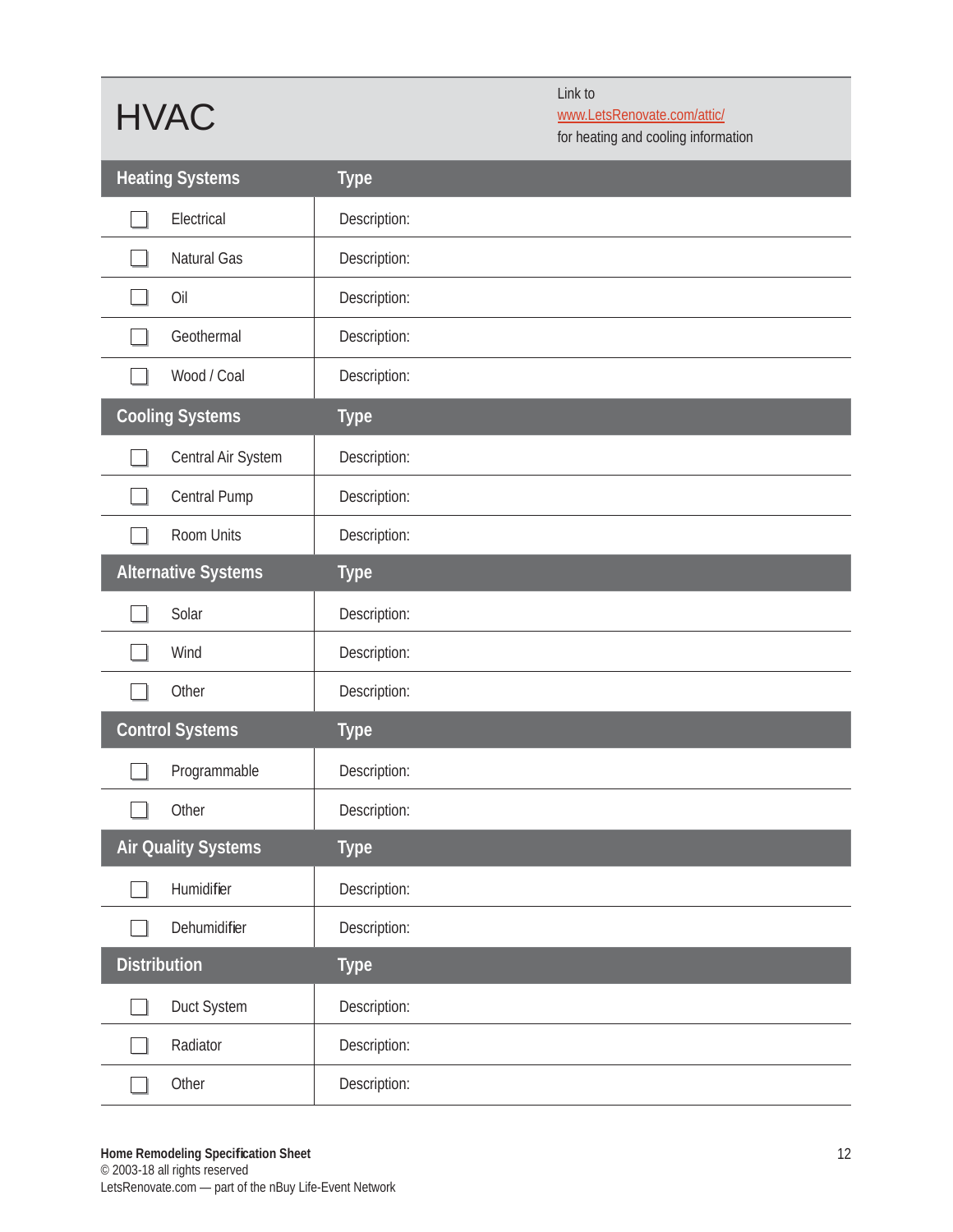## HVAC

Link to www.LetsRenovate.com/attic/

for heating and cooling information

|                     | <b>Heating Systems</b>     | <b>Type</b>  |
|---------------------|----------------------------|--------------|
|                     | Electrical                 | Description: |
|                     | Natural Gas                | Description: |
|                     | Oil                        | Description: |
|                     | Geothermal                 | Description: |
|                     | Wood / Coal                | Description: |
|                     | <b>Cooling Systems</b>     | <b>Type</b>  |
|                     | Central Air System         | Description: |
|                     | Central Pump               | Description: |
|                     | Room Units                 | Description: |
|                     | <b>Alternative Systems</b> | <b>Type</b>  |
|                     | Solar                      | Description: |
|                     | Wind                       | Description: |
|                     | Other                      | Description: |
|                     | <b>Control Systems</b>     | <b>Type</b>  |
|                     | Programmable               | Description: |
|                     | Other                      | Description: |
|                     | <b>Air Quality Systems</b> | <b>Type</b>  |
|                     | Humidifier                 | Description: |
|                     | Dehumidifier               | Description: |
| <b>Distribution</b> |                            | <b>Type</b>  |
|                     | Duct System                | Description: |
|                     | Radiator                   | Description: |
|                     | Other                      | Description: |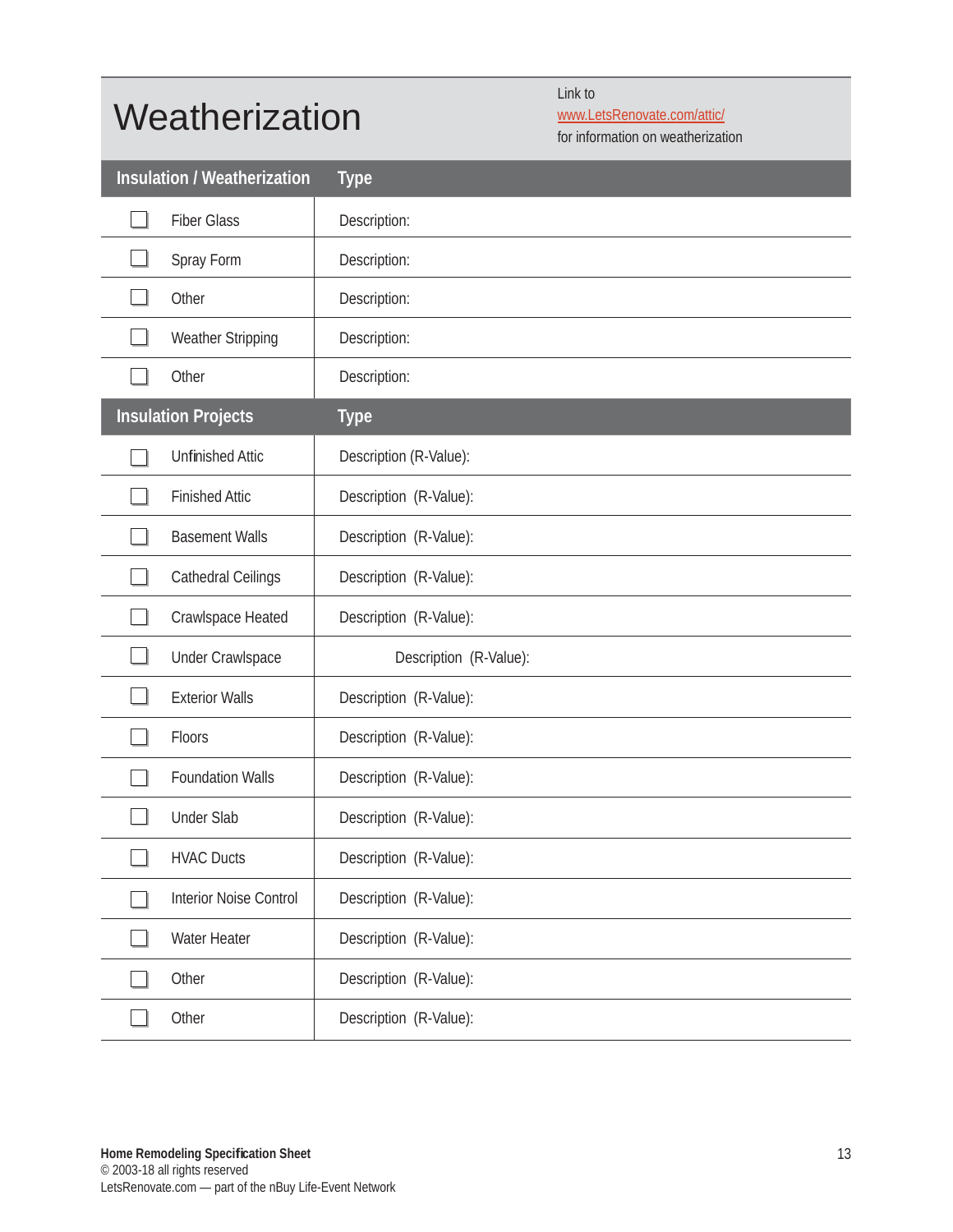#### **Weatherization**

Link to

www.LetsRenovate.com/attic/

for information on weatherization

| <b>Insulation / Weatherization</b> | <b>Type</b>            |
|------------------------------------|------------------------|
| <b>Fiber Glass</b>                 | Description:           |
| Spray Form                         | Description:           |
| Other                              | Description:           |
| Weather Stripping                  | Description:           |
| Other                              | Description:           |
| <b>Insulation Projects</b>         | <b>Type</b>            |
| <b>Unfinished Attic</b>            | Description (R-Value): |
| <b>Finished Attic</b>              | Description (R-Value): |
| <b>Basement Walls</b>              | Description (R-Value): |
| <b>Cathedral Ceilings</b>          | Description (R-Value): |
| Crawlspace Heated                  | Description (R-Value): |
| <b>Under Crawlspace</b>            | Description (R-Value): |
| <b>Exterior Walls</b>              | Description (R-Value): |
| Floors                             | Description (R-Value): |
| <b>Foundation Walls</b>            | Description (R-Value): |
| <b>Under Slab</b>                  | Description (R-Value): |
| <b>HVAC Ducts</b>                  | Description (R-Value): |
| Interior Noise Control             | Description (R-Value): |
| Water Heater                       | Description (R-Value): |
| Other                              | Description (R-Value): |
| Other                              | Description (R-Value): |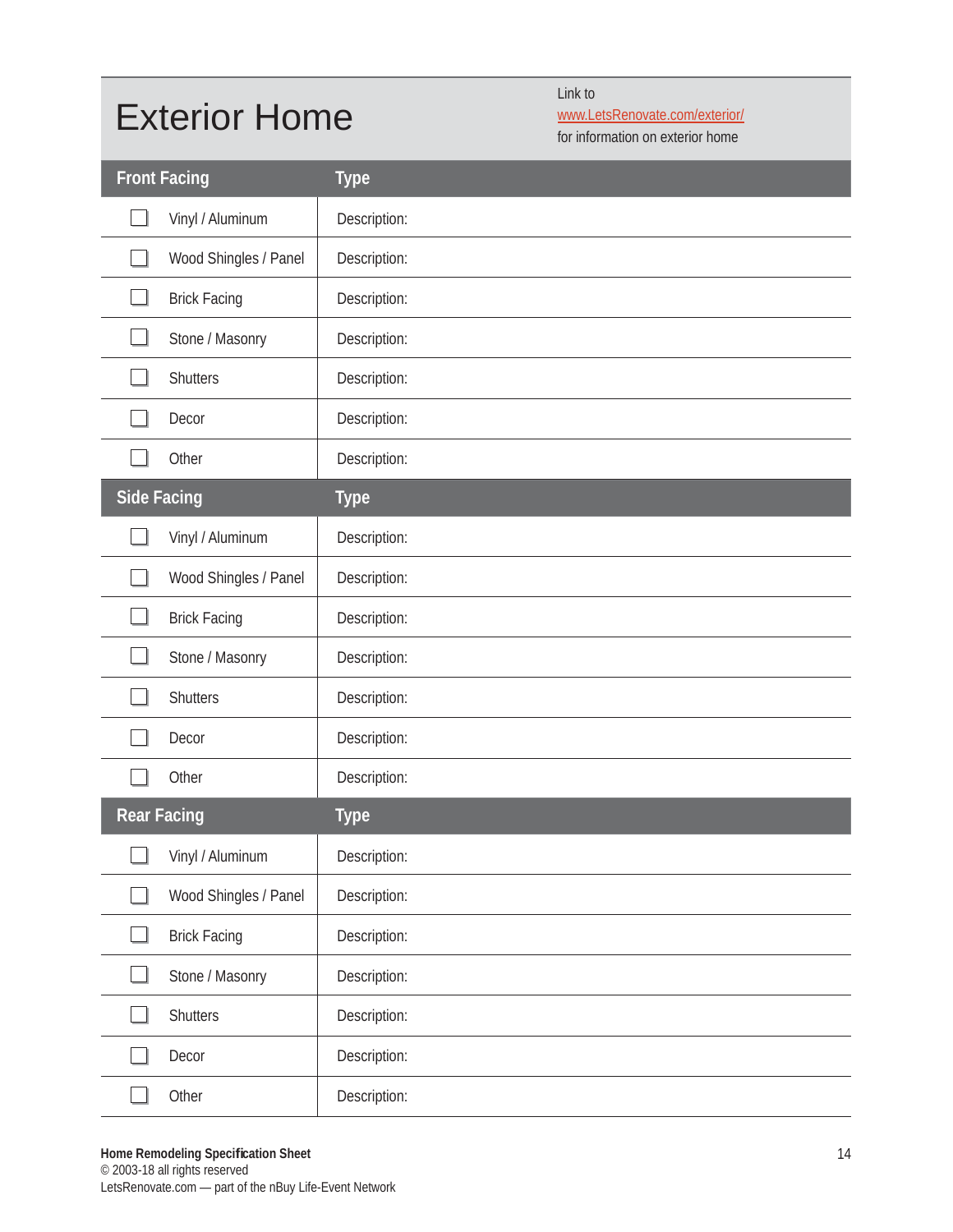### Exterior Home

Link to

www.LetsRenovate.com/exterior/

for information on exterior home

| <b>Front Facing</b>   | <b>Type</b>  |
|-----------------------|--------------|
| Vinyl / Aluminum      | Description: |
| Wood Shingles / Panel | Description: |
| <b>Brick Facing</b>   | Description: |
| Stone / Masonry       | Description: |
| <b>Shutters</b>       | Description: |
| Decor                 | Description: |
| Other                 | Description: |
| <b>Side Facing</b>    | <b>Type</b>  |
| Vinyl / Aluminum      | Description: |
| Wood Shingles / Panel | Description: |
| <b>Brick Facing</b>   | Description: |
| Stone / Masonry       | Description: |
| <b>Shutters</b>       | Description: |
| Decor                 | Description: |
| Other                 | Description: |
| <b>Rear Facing</b>    | <b>Type</b>  |
| Vinyl / Aluminum      | Description: |
| Wood Shingles / Panel | Description: |
| <b>Brick Facing</b>   | Description: |
| Stone / Masonry       | Description: |
| <b>Shutters</b>       | Description: |
| Decor                 | Description: |
| Other                 | Description: |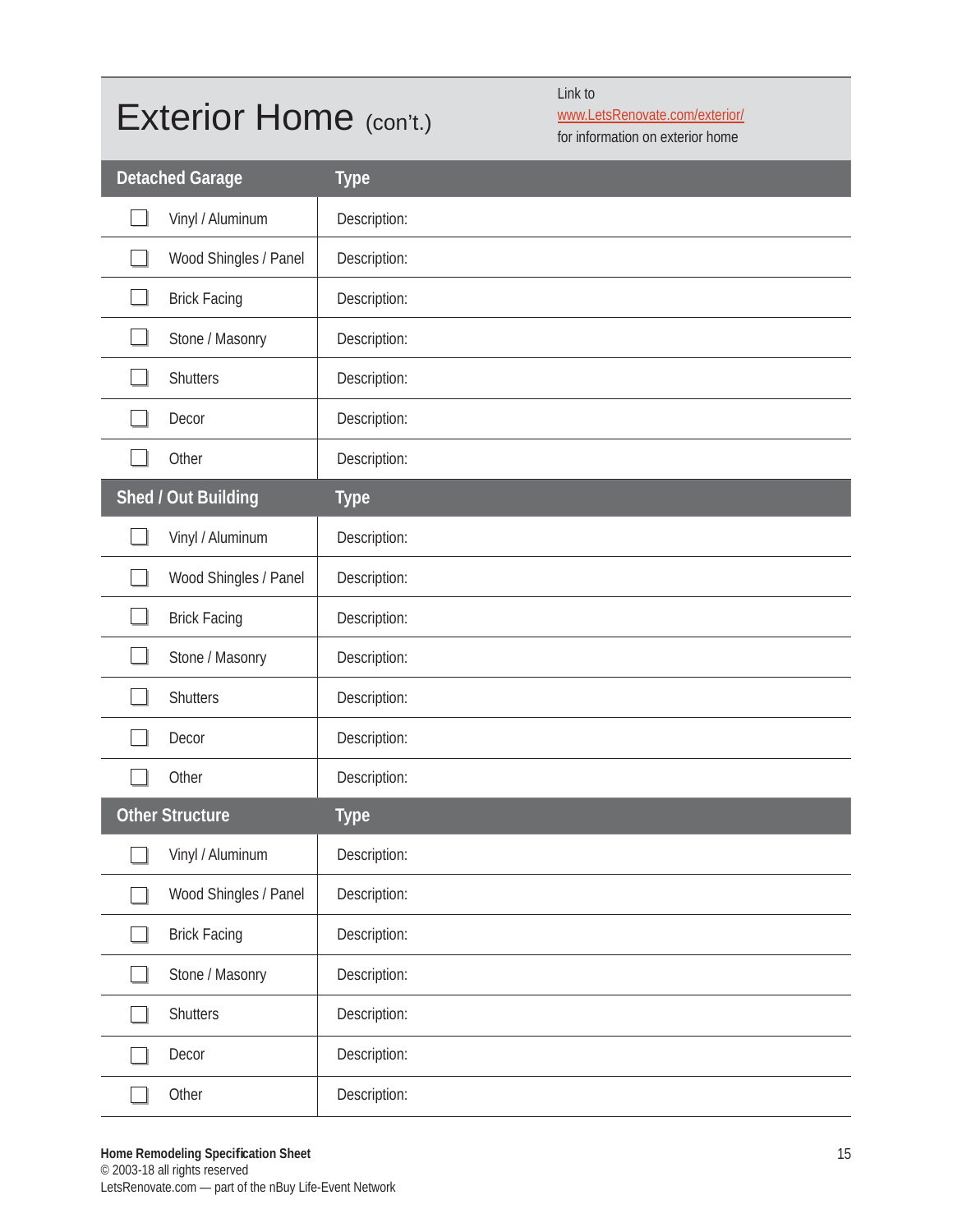#### Exterior Home (con't.)

Link to

www.LetsRenovate.com/exterior/

for information on exterior home

| <b>Detached Garage</b> | <b>Type</b>  |
|------------------------|--------------|
| Vinyl / Aluminum       | Description: |
| Wood Shingles / Panel  | Description: |
| <b>Brick Facing</b>    | Description: |
| Stone / Masonry        | Description: |
| <b>Shutters</b>        | Description: |
| Decor                  | Description: |
| Other                  | Description: |
| Shed / Out Building    | <b>Type</b>  |
| Vinyl / Aluminum       | Description: |
| Wood Shingles / Panel  | Description: |
| <b>Brick Facing</b>    | Description: |
| Stone / Masonry        | Description: |
| <b>Shutters</b>        | Description: |
| Decor                  | Description: |
| Other                  | Description: |
| <b>Other Structure</b> | <b>Type</b>  |
| Vinyl / Aluminum       | Description: |
| Wood Shingles / Panel  | Description: |
| <b>Brick Facing</b>    | Description: |
| Stone / Masonry        | Description: |
| <b>Shutters</b>        | Description: |
| Decor                  | Description: |
| Other                  | Description: |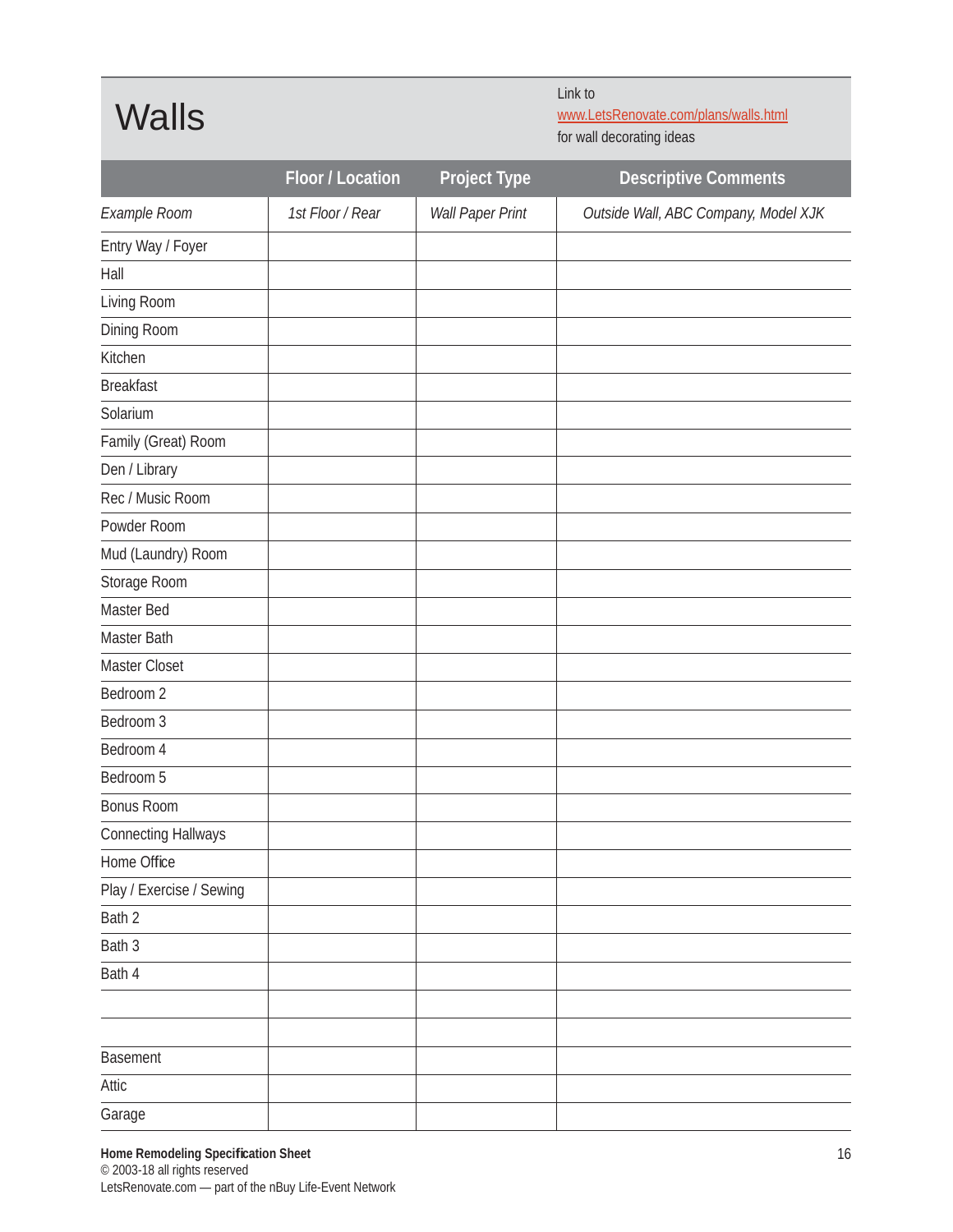**Walls** 

Link to www.LetsRenovate.com/plans/walls.html for wall decorating ideas

|                            | Floor / Location | <b>Project Type</b> | <b>Descriptive Comments</b>          |
|----------------------------|------------------|---------------------|--------------------------------------|
| Example Room               | 1st Floor / Rear | Wall Paper Print    | Outside Wall, ABC Company, Model XJK |
| Entry Way / Foyer          |                  |                     |                                      |
| Hall                       |                  |                     |                                      |
| Living Room                |                  |                     |                                      |
| Dining Room                |                  |                     |                                      |
| Kitchen                    |                  |                     |                                      |
| <b>Breakfast</b>           |                  |                     |                                      |
| Solarium                   |                  |                     |                                      |
| Family (Great) Room        |                  |                     |                                      |
| Den / Library              |                  |                     |                                      |
| Rec / Music Room           |                  |                     |                                      |
| Powder Room                |                  |                     |                                      |
| Mud (Laundry) Room         |                  |                     |                                      |
| Storage Room               |                  |                     |                                      |
| Master Bed                 |                  |                     |                                      |
| Master Bath                |                  |                     |                                      |
| Master Closet              |                  |                     |                                      |
| Bedroom 2                  |                  |                     |                                      |
| Bedroom 3                  |                  |                     |                                      |
| Bedroom 4                  |                  |                     |                                      |
| Bedroom 5                  |                  |                     |                                      |
| <b>Bonus Room</b>          |                  |                     |                                      |
| <b>Connecting Hallways</b> |                  |                     |                                      |
| Home Office                |                  |                     |                                      |
| Play / Exercise / Sewing   |                  |                     |                                      |
| Bath 2                     |                  |                     |                                      |
| Bath 3                     |                  |                     |                                      |
| Bath 4                     |                  |                     |                                      |
|                            |                  |                     |                                      |
|                            |                  |                     |                                      |
| Basement                   |                  |                     |                                      |
| Attic                      |                  |                     |                                      |
| Garage                     |                  |                     |                                      |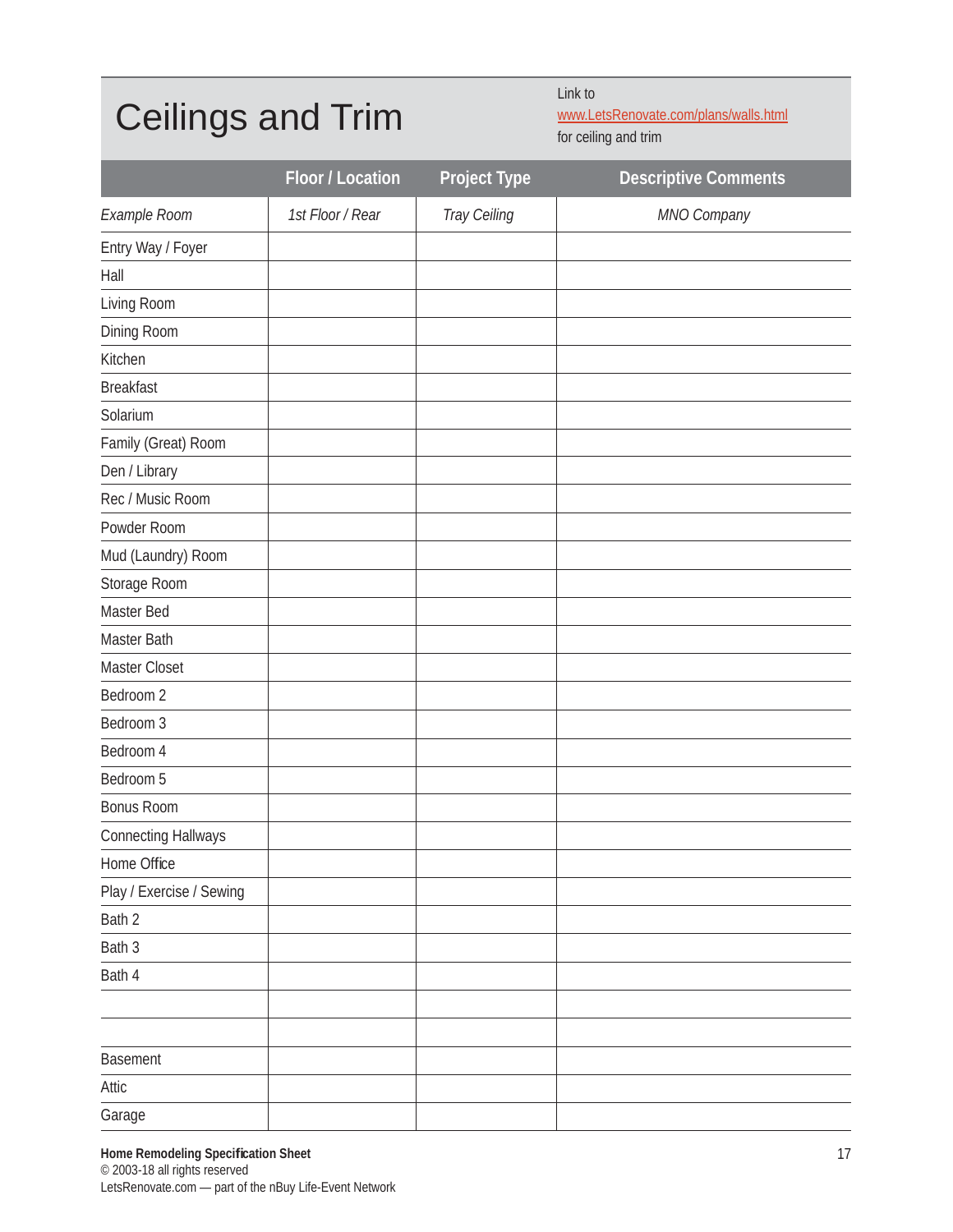#### Ceilings and Trim

Link to

www.LetsRenovate.com/plans/walls.html for ceiling and trim

|                            | Floor / Location | Project Type | <b>Descriptive Comments</b> |
|----------------------------|------------------|--------------|-----------------------------|
| Example Room               | 1st Floor / Rear | Tray Ceiling | MNO Company                 |
| Entry Way / Foyer          |                  |              |                             |
| Hall                       |                  |              |                             |
| Living Room                |                  |              |                             |
| Dining Room                |                  |              |                             |
| Kitchen                    |                  |              |                             |
| <b>Breakfast</b>           |                  |              |                             |
| Solarium                   |                  |              |                             |
| Family (Great) Room        |                  |              |                             |
| Den / Library              |                  |              |                             |
| Rec / Music Room           |                  |              |                             |
| Powder Room                |                  |              |                             |
| Mud (Laundry) Room         |                  |              |                             |
| Storage Room               |                  |              |                             |
| Master Bed                 |                  |              |                             |
| Master Bath                |                  |              |                             |
| Master Closet              |                  |              |                             |
| Bedroom 2                  |                  |              |                             |
| Bedroom 3                  |                  |              |                             |
| Bedroom 4                  |                  |              |                             |
| Bedroom 5                  |                  |              |                             |
| <b>Bonus Room</b>          |                  |              |                             |
| <b>Connecting Hallways</b> |                  |              |                             |
| Home Office                |                  |              |                             |
| Play / Exercise / Sewing   |                  |              |                             |
| Bath 2                     |                  |              |                             |
| Bath 3                     |                  |              |                             |
| Bath 4                     |                  |              |                             |
|                            |                  |              |                             |
|                            |                  |              |                             |
| Basement                   |                  |              |                             |
| Attic                      |                  |              |                             |
| Garage                     |                  |              |                             |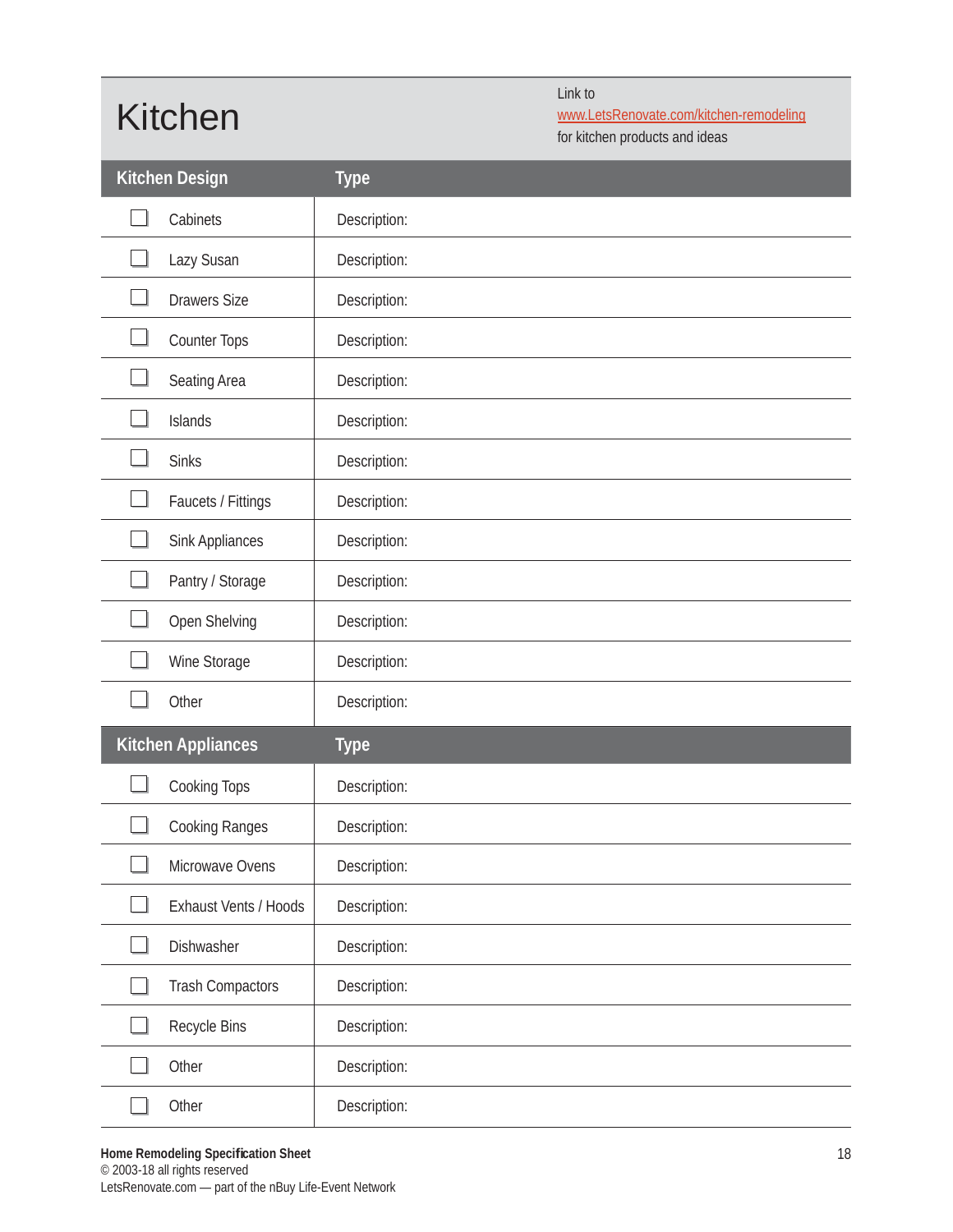## Kitchen

Link to www.LetsRenovate.com/kitchen-remodeling

for kitchen products and ideas

|   | <b>Kitchen Design</b>     | <b>Type</b>  |
|---|---------------------------|--------------|
|   | Cabinets                  | Description: |
|   | Lazy Susan                | Description: |
|   | <b>Drawers Size</b>       | Description: |
|   | Counter Tops              | Description: |
|   | Seating Area              | Description: |
|   | Islands                   | Description: |
|   | <b>Sinks</b>              | Description: |
|   | Faucets / Fittings        | Description: |
|   | Sink Appliances           | Description: |
|   | Pantry / Storage          | Description: |
|   | Open Shelving             | Description: |
|   | Wine Storage              | Description: |
|   | Other                     | Description: |
|   | <b>Kitchen Appliances</b> | <b>Type</b>  |
|   | Cooking Tops              | Description: |
|   | Cooking Ranges            | Description: |
| ┙ | Microwave Ovens           | Description: |
|   |                           |              |
|   | Exhaust Vents / Hoods     | Description: |
|   | Dishwasher                | Description: |
|   | <b>Trash Compactors</b>   | Description: |
|   | Recycle Bins              | Description: |
|   | Other                     | Description: |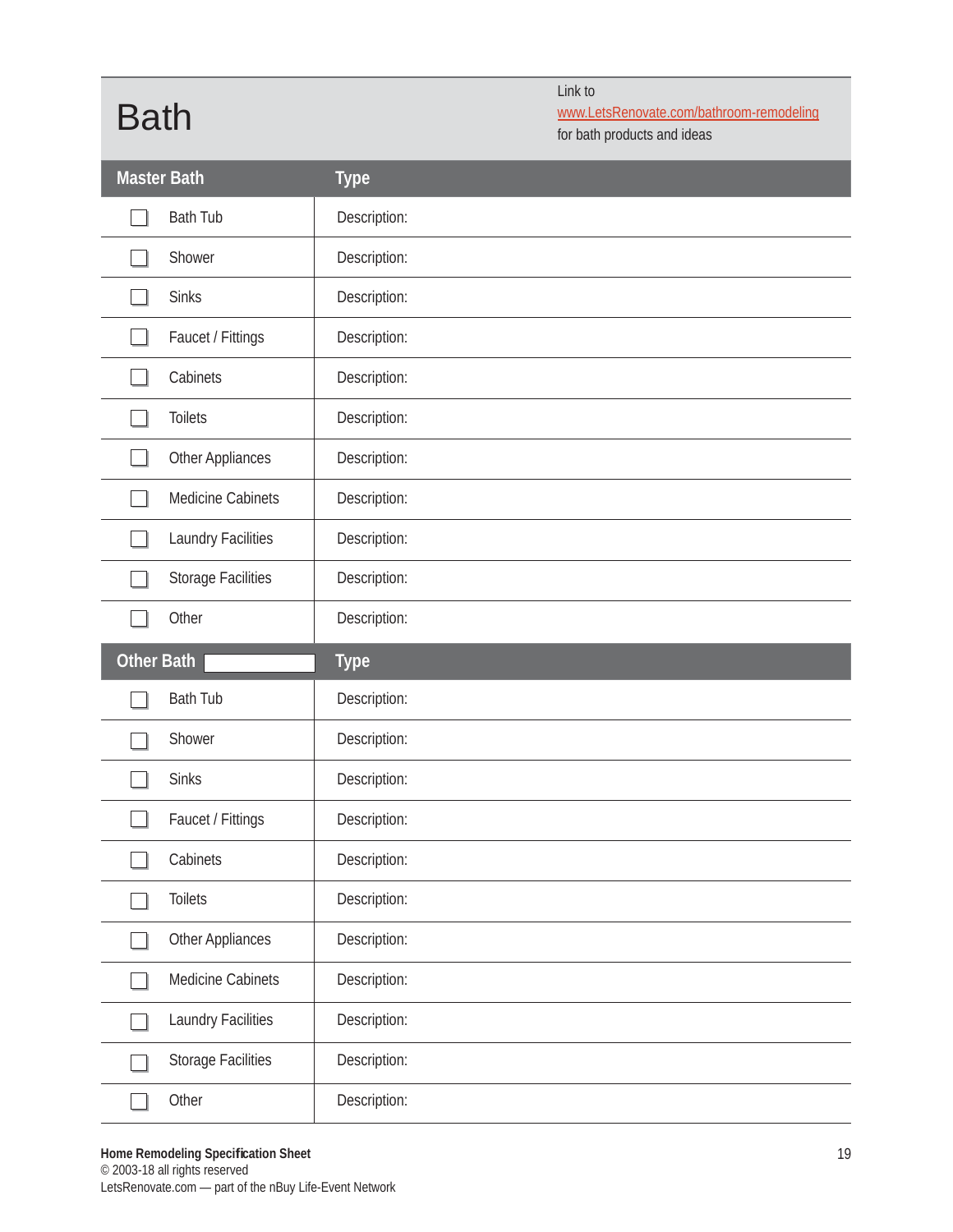### Bath

Link to

www.LetsRenovate.com/bathroom-remodeling

for bath products and ideas

|                   | <b>Master Bath</b>        | <b>Type</b>  |
|-------------------|---------------------------|--------------|
|                   | <b>Bath Tub</b>           | Description: |
|                   | Shower                    | Description: |
|                   | <b>Sinks</b>              | Description: |
|                   | Faucet / Fittings         | Description: |
|                   | Cabinets                  | Description: |
|                   | <b>Toilets</b>            | Description: |
|                   | Other Appliances          | Description: |
|                   | Medicine Cabinets         | Description: |
|                   | Laundry Facilities        | Description: |
|                   | <b>Storage Facilities</b> | Description: |
|                   | Other                     | Description: |
|                   |                           |              |
| <b>Other Bath</b> |                           | <b>Type</b>  |
|                   | <b>Bath Tub</b>           | Description: |
|                   | Shower                    | Description: |
|                   | <b>Sinks</b>              | Description: |
|                   | Faucet / Fittings         | Description: |
|                   | Cabinets                  | Description: |
|                   | <b>Toilets</b>            | Description: |
|                   | Other Appliances          | Description: |
|                   | Medicine Cabinets         | Description: |
|                   | Laundry Facilities        | Description: |
|                   | <b>Storage Facilities</b> | Description: |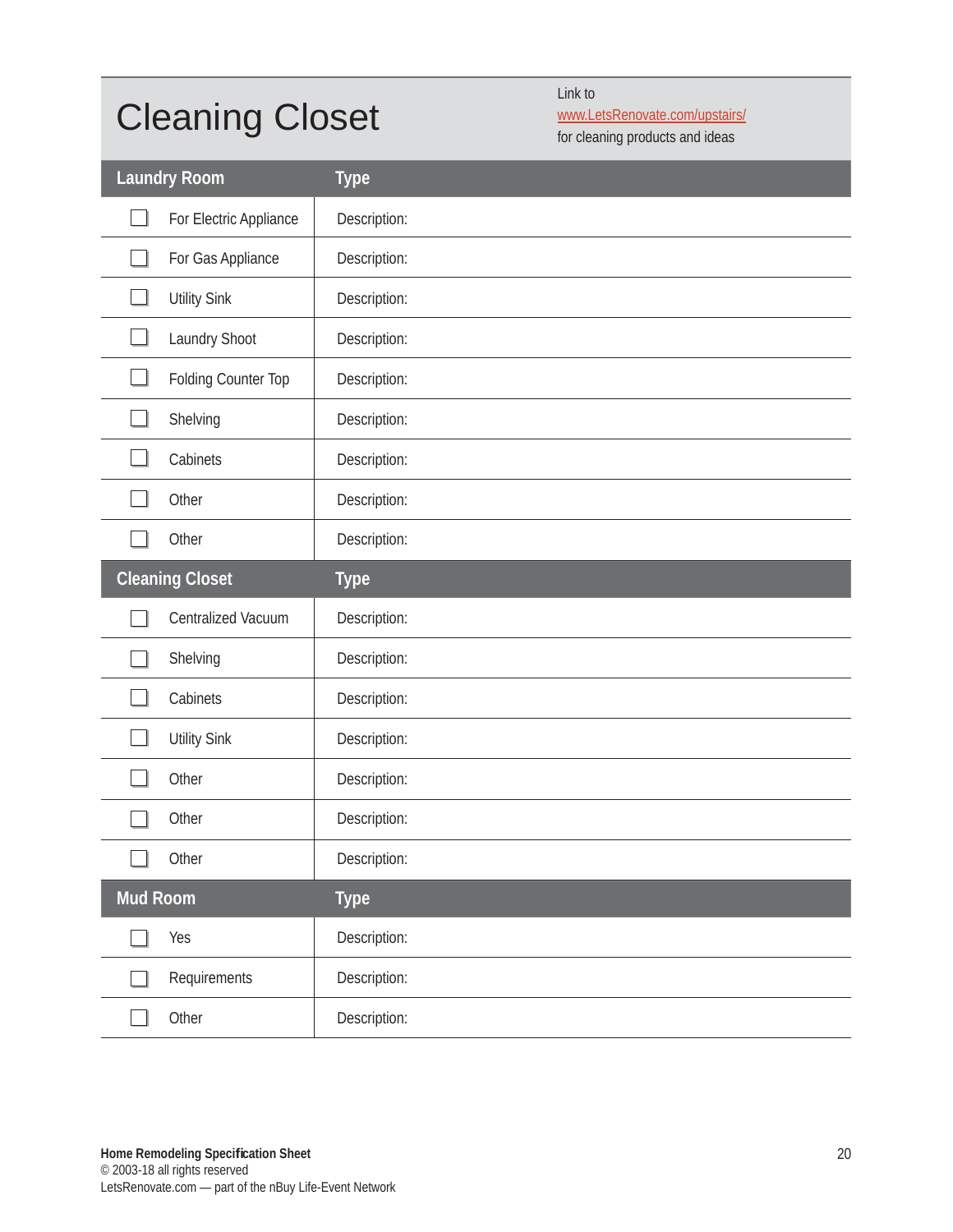## Cleaning Closet

Link to

www.LetsRenovate.com/upstairs/

for cleaning products and ideas

|          | <b>Laundry Room</b>    | <b>Type</b>  |
|----------|------------------------|--------------|
|          | For Electric Appliance | Description: |
|          | For Gas Appliance      | Description: |
|          | <b>Utility Sink</b>    | Description: |
|          | Laundry Shoot          | Description: |
|          | Folding Counter Top    | Description: |
|          | Shelving               | Description: |
|          | Cabinets               | Description: |
|          | Other                  | Description: |
|          | Other                  | Description: |
|          | <b>Cleaning Closet</b> | <b>Type</b>  |
|          |                        |              |
|          | Centralized Vacuum     | Description: |
|          | Shelving               | Description: |
|          | Cabinets               | Description: |
|          | <b>Utility Sink</b>    | Description: |
|          | Other                  | Description: |
|          | Other                  | Description: |
|          | Other                  | Description: |
| Mud Room |                        | <b>Type</b>  |
|          | Yes                    | Description: |
|          | Requirements           | Description: |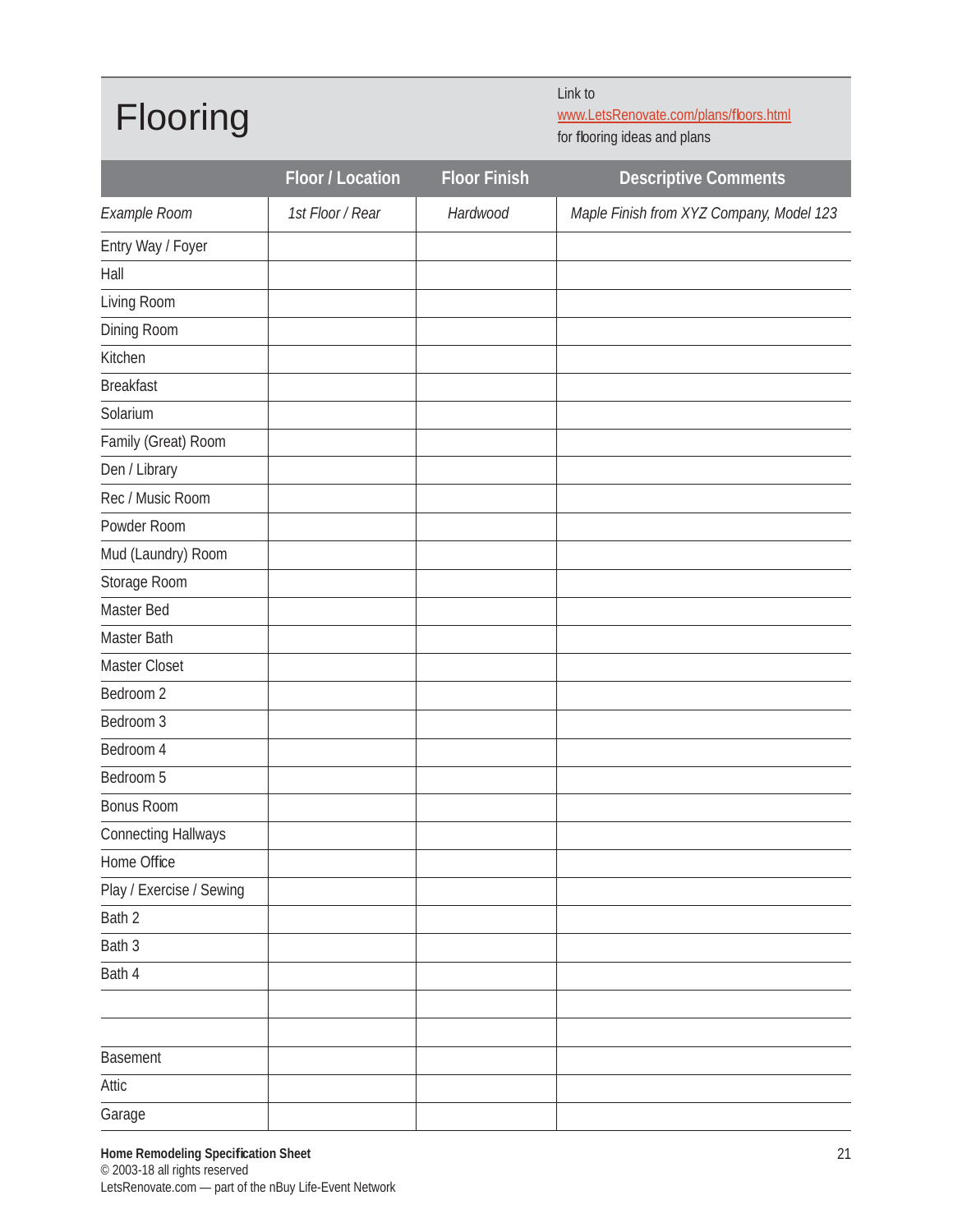#### Flooring

Link to

www.LetsRenovate.com/plans/floors.html for flooring ideas and plans

|                            | Floor / Location | <b>Floor Finish</b> | <b>Descriptive Comments</b>              |
|----------------------------|------------------|---------------------|------------------------------------------|
| Example Room               | 1st Floor / Rear | Hardwood            | Maple Finish from XYZ Company, Model 123 |
| Entry Way / Foyer          |                  |                     |                                          |
| Hall                       |                  |                     |                                          |
| Living Room                |                  |                     |                                          |
| Dining Room                |                  |                     |                                          |
| Kitchen                    |                  |                     |                                          |
| <b>Breakfast</b>           |                  |                     |                                          |
| Solarium                   |                  |                     |                                          |
| Family (Great) Room        |                  |                     |                                          |
| Den / Library              |                  |                     |                                          |
| Rec / Music Room           |                  |                     |                                          |
| Powder Room                |                  |                     |                                          |
| Mud (Laundry) Room         |                  |                     |                                          |
| Storage Room               |                  |                     |                                          |
| Master Bed                 |                  |                     |                                          |
| Master Bath                |                  |                     |                                          |
| Master Closet              |                  |                     |                                          |
| Bedroom 2                  |                  |                     |                                          |
| Bedroom 3                  |                  |                     |                                          |
| Bedroom 4                  |                  |                     |                                          |
| Bedroom 5                  |                  |                     |                                          |
| <b>Bonus Room</b>          |                  |                     |                                          |
| <b>Connecting Hallways</b> |                  |                     |                                          |
| Home Office                |                  |                     |                                          |
| Play / Exercise / Sewing   |                  |                     |                                          |
| Bath 2                     |                  |                     |                                          |
| Bath 3                     |                  |                     |                                          |
| Bath 4                     |                  |                     |                                          |
|                            |                  |                     |                                          |
|                            |                  |                     |                                          |
| <b>Basement</b>            |                  |                     |                                          |
| Attic                      |                  |                     |                                          |
| Garage                     |                  |                     |                                          |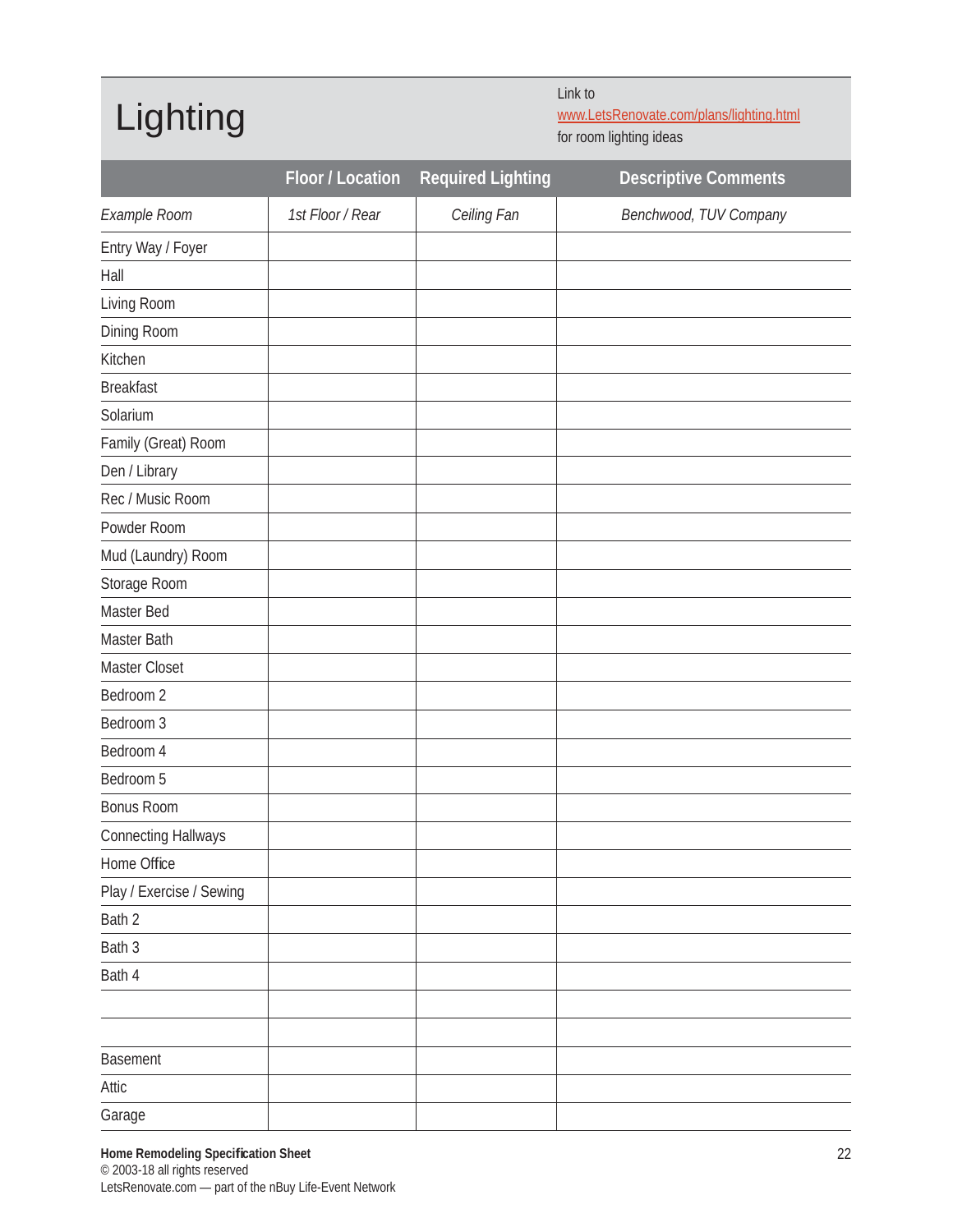## Lighting

Link to www.LetsRenovate.com/plans/lighting.html

for room lighting ideas

|                            | Floor / Location | <b>Required Lighting</b> | <b>Descriptive Comments</b> |
|----------------------------|------------------|--------------------------|-----------------------------|
| Example Room               | 1st Floor / Rear | Ceiling Fan              | Benchwood, TUV Company      |
| Entry Way / Foyer          |                  |                          |                             |
| Hall                       |                  |                          |                             |
| Living Room                |                  |                          |                             |
| Dining Room                |                  |                          |                             |
| Kitchen                    |                  |                          |                             |
| <b>Breakfast</b>           |                  |                          |                             |
| Solarium                   |                  |                          |                             |
| Family (Great) Room        |                  |                          |                             |
| Den / Library              |                  |                          |                             |
| Rec / Music Room           |                  |                          |                             |
| Powder Room                |                  |                          |                             |
| Mud (Laundry) Room         |                  |                          |                             |
| Storage Room               |                  |                          |                             |
| Master Bed                 |                  |                          |                             |
| Master Bath                |                  |                          |                             |
| Master Closet              |                  |                          |                             |
| Bedroom 2                  |                  |                          |                             |
| Bedroom 3                  |                  |                          |                             |
| Bedroom 4                  |                  |                          |                             |
| Bedroom 5                  |                  |                          |                             |
| Bonus Room                 |                  |                          |                             |
| <b>Connecting Hallways</b> |                  |                          |                             |
| Home Office                |                  |                          |                             |
| Play / Exercise / Sewing   |                  |                          |                             |
| Bath 2                     |                  |                          |                             |
| Bath 3                     |                  |                          |                             |
| Bath 4                     |                  |                          |                             |
|                            |                  |                          |                             |
|                            |                  |                          |                             |
| Basement                   |                  |                          |                             |
| Attic                      |                  |                          |                             |
| Garage                     |                  |                          |                             |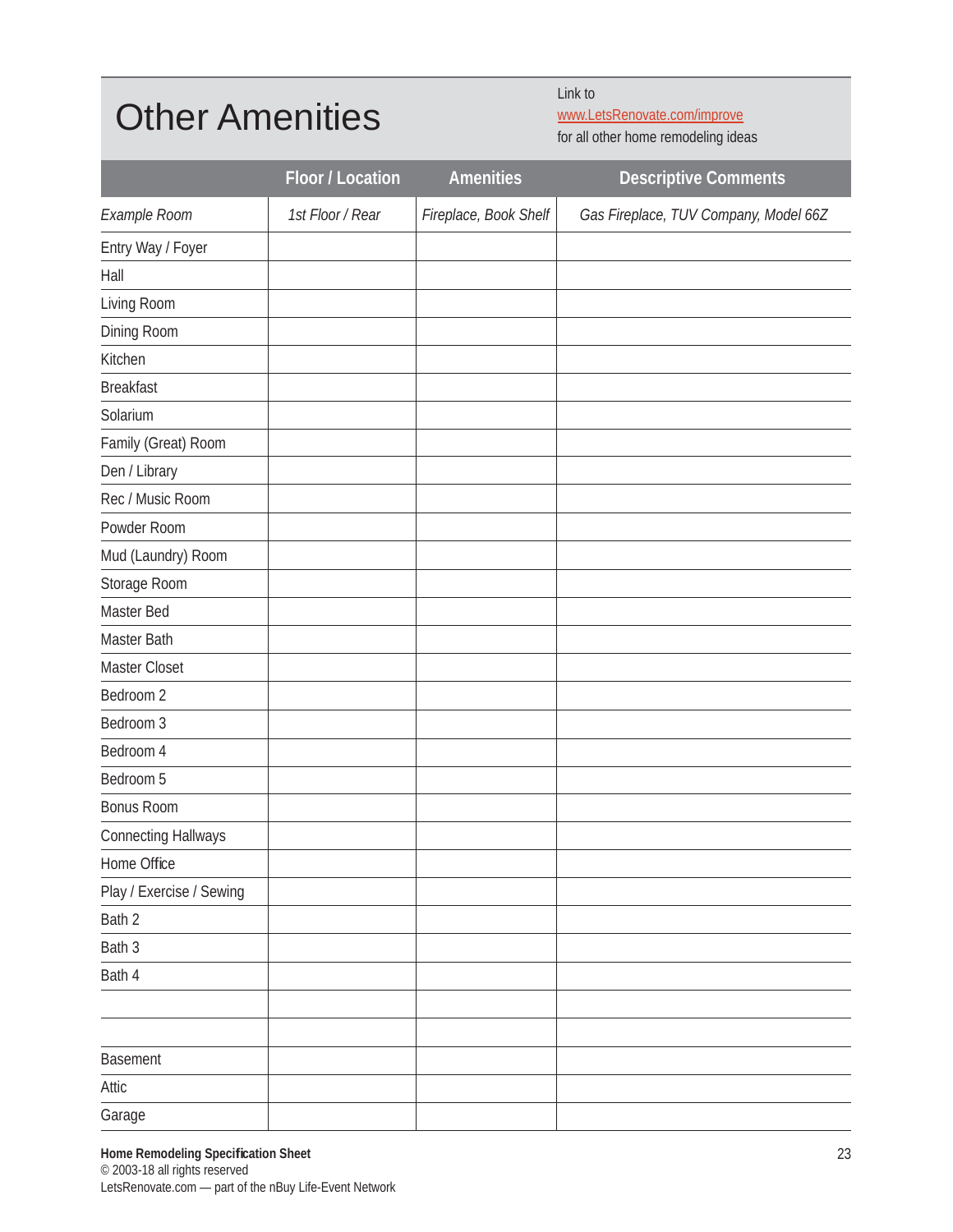#### Other Amenities

Link to

www.LetsRenovate.com/improve for all other home remodeling ideas

|                            | Floor / Location | <b>Amenities</b>      | <b>Descriptive Comments</b>           |
|----------------------------|------------------|-----------------------|---------------------------------------|
| Example Room               | 1st Floor / Rear | Fireplace, Book Shelf | Gas Fireplace, TUV Company, Model 66Z |
| Entry Way / Foyer          |                  |                       |                                       |
| Hall                       |                  |                       |                                       |
| Living Room                |                  |                       |                                       |
| Dining Room                |                  |                       |                                       |
| Kitchen                    |                  |                       |                                       |
| <b>Breakfast</b>           |                  |                       |                                       |
| Solarium                   |                  |                       |                                       |
| Family (Great) Room        |                  |                       |                                       |
| Den / Library              |                  |                       |                                       |
| Rec / Music Room           |                  |                       |                                       |
| Powder Room                |                  |                       |                                       |
| Mud (Laundry) Room         |                  |                       |                                       |
| Storage Room               |                  |                       |                                       |
| Master Bed                 |                  |                       |                                       |
| Master Bath                |                  |                       |                                       |
| Master Closet              |                  |                       |                                       |
| Bedroom 2                  |                  |                       |                                       |
| Bedroom 3                  |                  |                       |                                       |
| Bedroom 4                  |                  |                       |                                       |
| Bedroom 5                  |                  |                       |                                       |
| <b>Bonus Room</b>          |                  |                       |                                       |
| <b>Connecting Hallways</b> |                  |                       |                                       |
| Home Office                |                  |                       |                                       |
| Play / Exercise / Sewing   |                  |                       |                                       |
| Bath 2                     |                  |                       |                                       |
| Bath 3                     |                  |                       |                                       |
| Bath 4                     |                  |                       |                                       |
|                            |                  |                       |                                       |
|                            |                  |                       |                                       |
| Basement                   |                  |                       |                                       |
| Attic                      |                  |                       |                                       |
| Garage                     |                  |                       |                                       |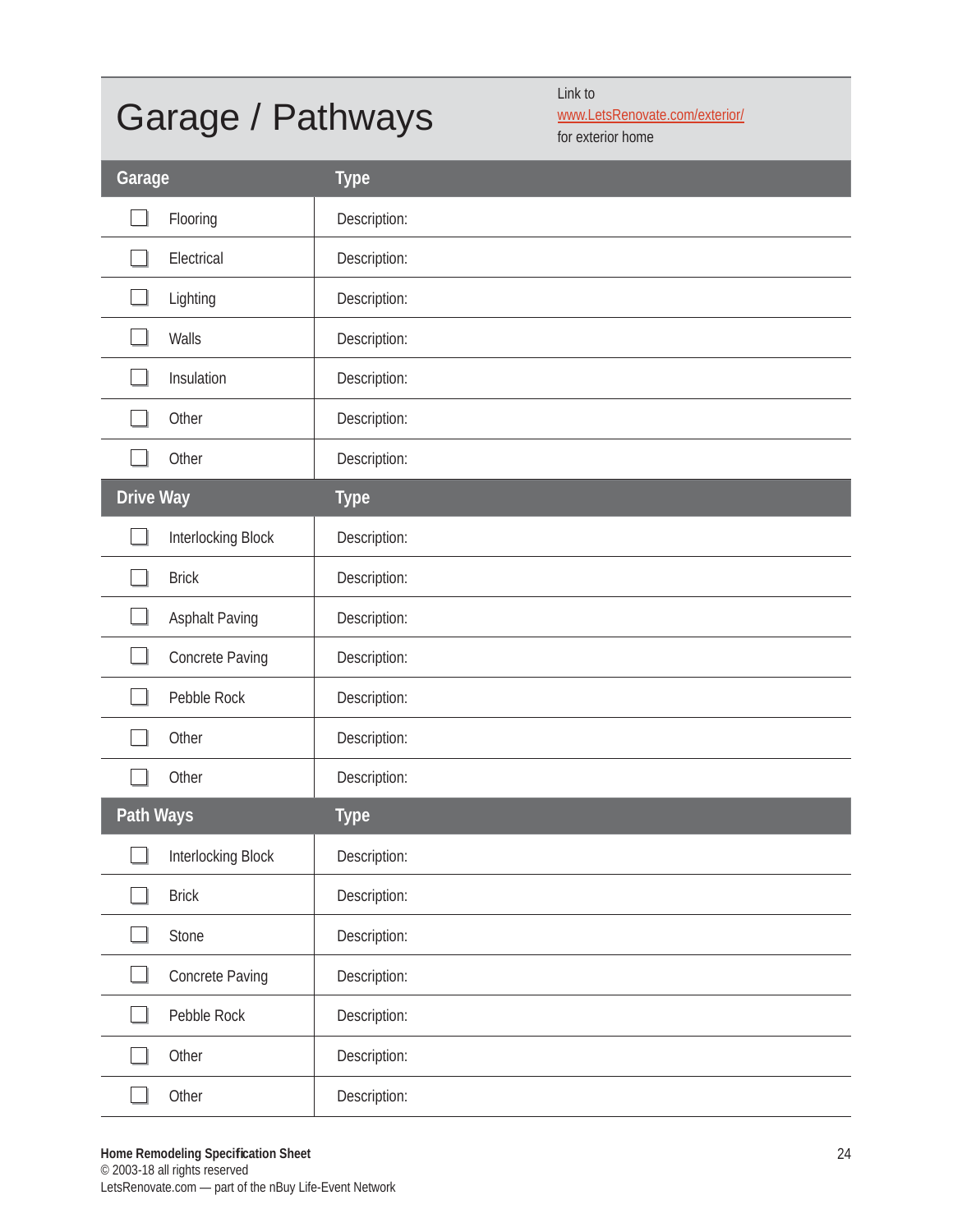### Garage / Pathways

Link to www.LetsRenovate.com/exterior/

for exterior home

| Garage    |                    | <b>Type</b>  |
|-----------|--------------------|--------------|
|           | Flooring           | Description: |
|           | Electrical         | Description: |
|           | Lighting           | Description: |
|           | Walls              | Description: |
|           | Insulation         | Description: |
|           | Other              | Description: |
|           | Other              | Description: |
| Drive Way |                    | <b>Type</b>  |
|           | Interlocking Block | Description: |
|           | <b>Brick</b>       | Description: |
|           | Asphalt Paving     | Description: |
|           | Concrete Paving    | Description: |
|           | Pebble Rock        | Description: |
|           | Other              | Description: |
|           | Other              | Description: |
| Path Ways |                    | <b>Type</b>  |
|           | Interlocking Block | Description: |
|           | <b>Brick</b>       | Description: |
|           | Stone              | Description: |
|           | Concrete Paving    | Description: |
|           | Pebble Rock        | Description: |
|           | Other              | Description: |
|           | Other              | Description: |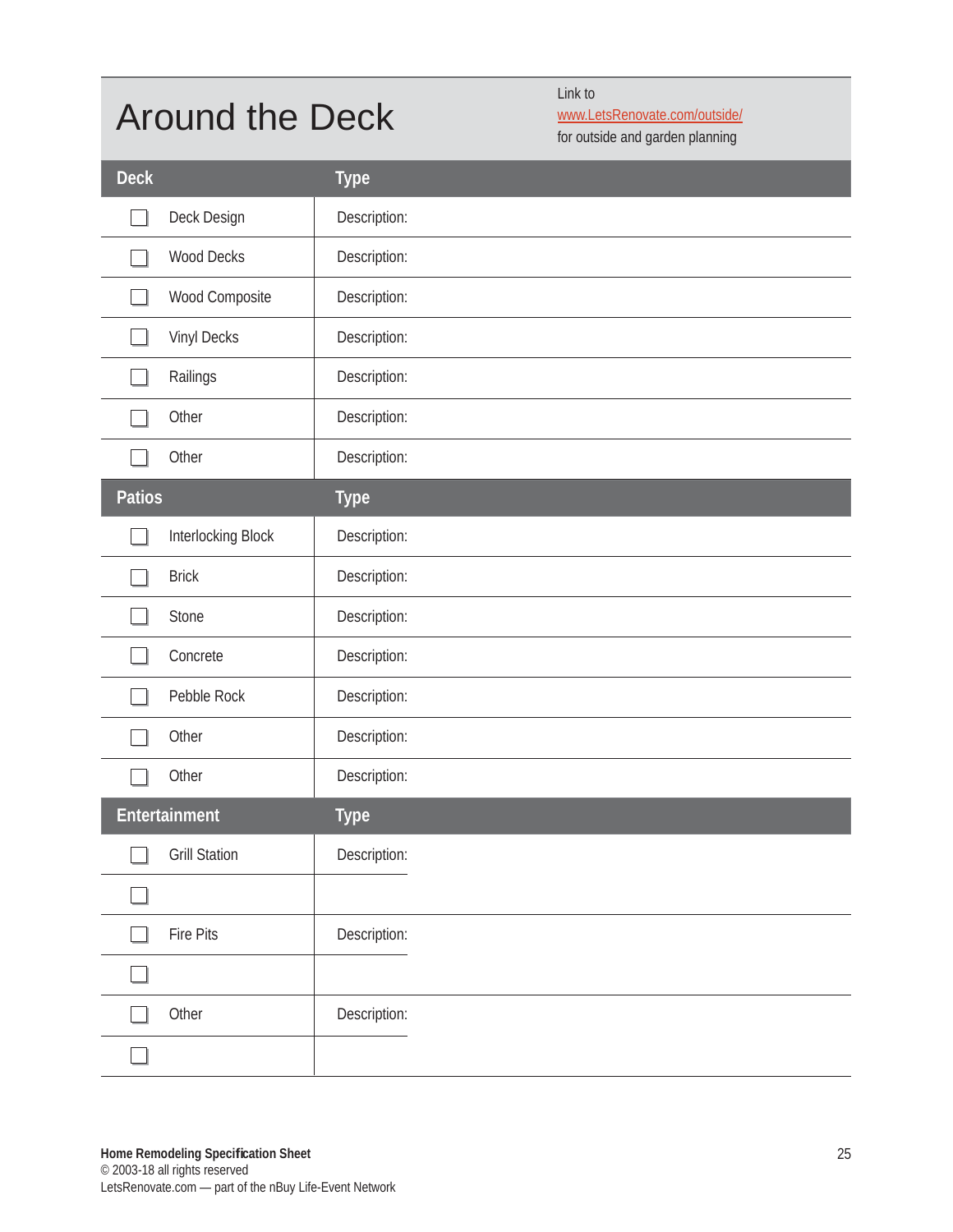#### Around the Deck

Link to

www.LetsRenovate.com/outside/ for outside and garden planning

| <b>Deck</b>   |                      | <b>Type</b>  |
|---------------|----------------------|--------------|
|               | Deck Design          | Description: |
|               | <b>Wood Decks</b>    | Description: |
|               | Wood Composite       | Description: |
|               | Vinyl Decks          | Description: |
|               | Railings             | Description: |
|               | Other                | Description: |
|               | Other                | Description: |
| <b>Patios</b> |                      | <b>Type</b>  |
|               | Interlocking Block   | Description: |
|               | <b>Brick</b>         | Description: |
|               | Stone                | Description: |
|               | Concrete             | Description: |
|               | Pebble Rock          | Description: |
|               | Other                | Description: |
|               | Other                | Description: |
|               | Entertainment        | <b>Type</b>  |
| ᅳ             | <b>Grill Station</b> | Description: |
|               |                      |              |
|               | Fire Pits            | Description: |
|               |                      |              |
|               | Other                | Description: |
|               |                      |              |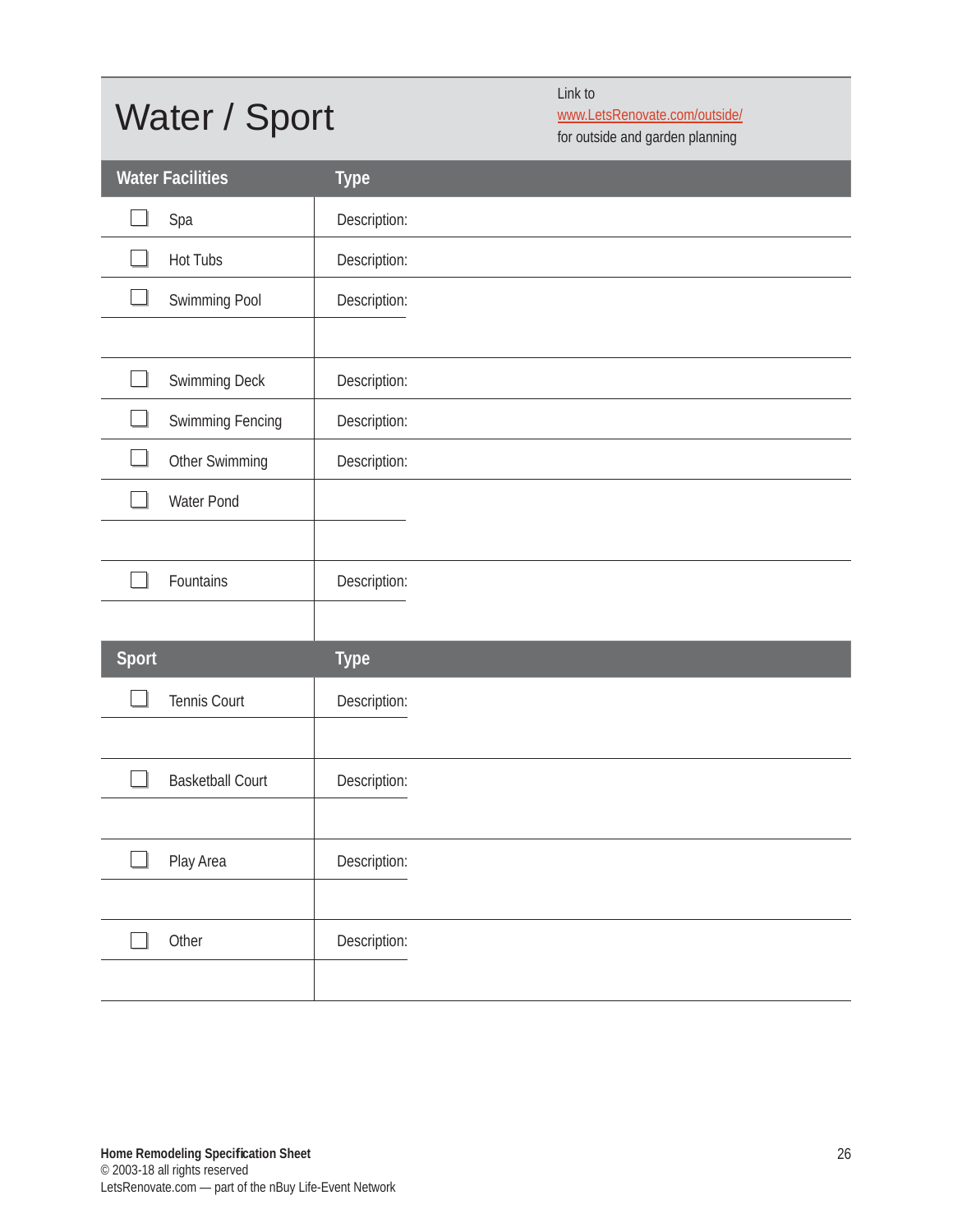# Water / Sport

Link to

www.LetsRenovate.com/outside/ for outside and garden planning

|       | <b>Water Facilities</b> | <b>Type</b>  |
|-------|-------------------------|--------------|
|       | Spa                     | Description: |
|       | <b>Hot Tubs</b>         | Description: |
|       | Swimming Pool           | Description: |
|       |                         |              |
|       | Swimming Deck           | Description: |
|       | Swimming Fencing        | Description: |
|       | Other Swimming          | Description: |
|       | Water Pond              |              |
|       |                         |              |
|       | Fountains               | Description: |
|       |                         |              |
| Sport |                         | <b>Type</b>  |
|       | Tennis Court            | Description: |
|       |                         |              |
|       | <b>Basketball Court</b> | Description: |
|       |                         |              |
| ┙     | Play Area               | Description: |
|       |                         |              |
|       | Other                   | Description: |
|       |                         |              |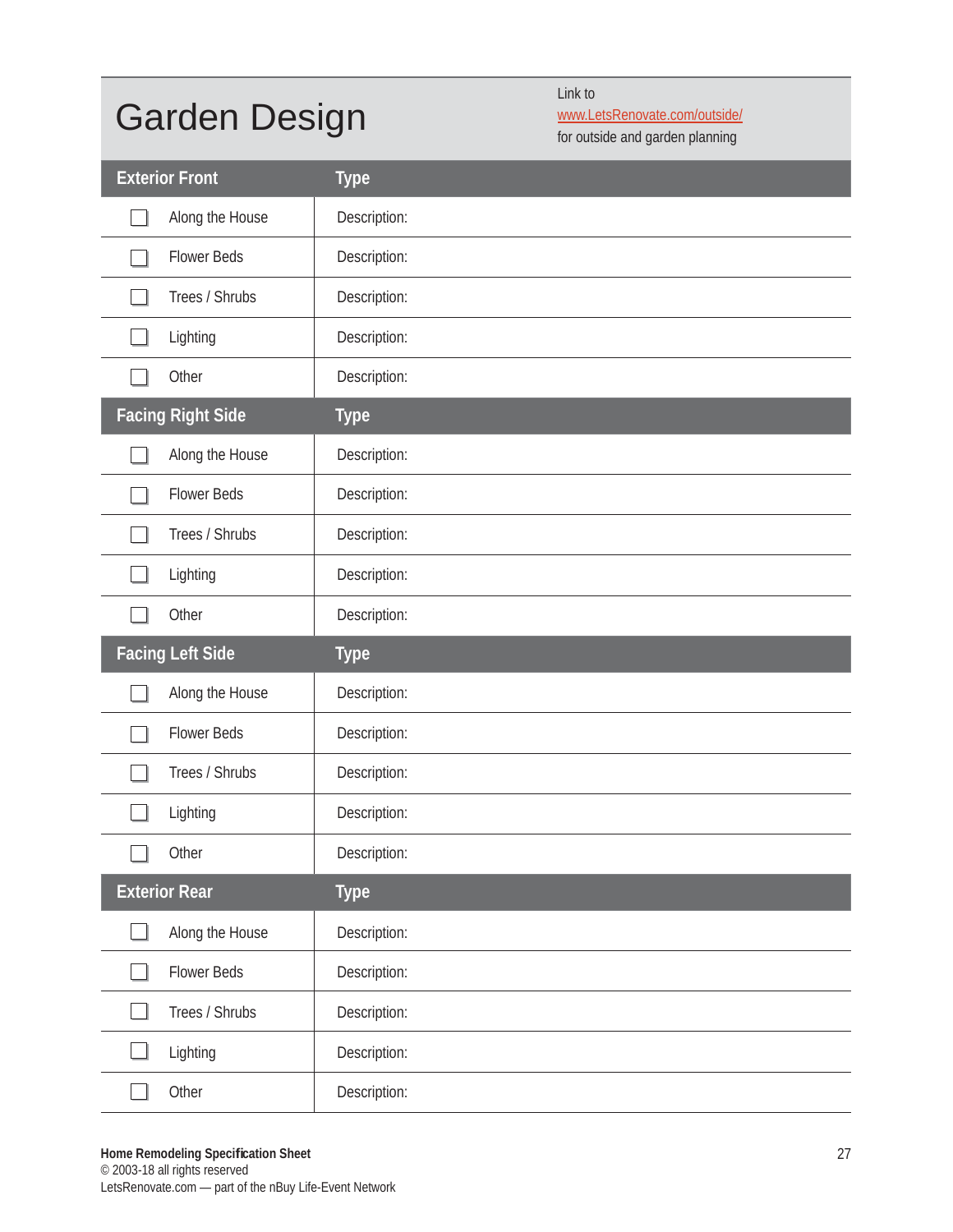# Garden Design

Link to

www.LetsRenovate.com/outside/ for outside and garden planning

| <b>Exterior Front</b>    | <b>Type</b>  |
|--------------------------|--------------|
| Along the House          | Description: |
| <b>Flower Beds</b>       | Description: |
| Trees / Shrubs           | Description: |
| Lighting                 | Description: |
| Other                    | Description: |
| <b>Facing Right Side</b> | <b>Type</b>  |
| Along the House          | Description: |
| <b>Flower Beds</b>       | Description: |
| Trees / Shrubs           | Description: |
| Lighting                 | Description: |
| Other                    | Description: |
|                          |              |
| <b>Facing Left Side</b>  | <b>Type</b>  |
| Along the House          | Description: |
| <b>Flower Beds</b>       | Description: |
| Trees / Shrubs           | Description: |
| Lighting                 | Description: |
| Other                    | Description: |
| <b>Exterior Rear</b>     | <b>Type</b>  |
| Along the House          | Description: |
| <b>Flower Beds</b>       | Description: |
| Trees / Shrubs           | Description: |
| Lighting                 | Description: |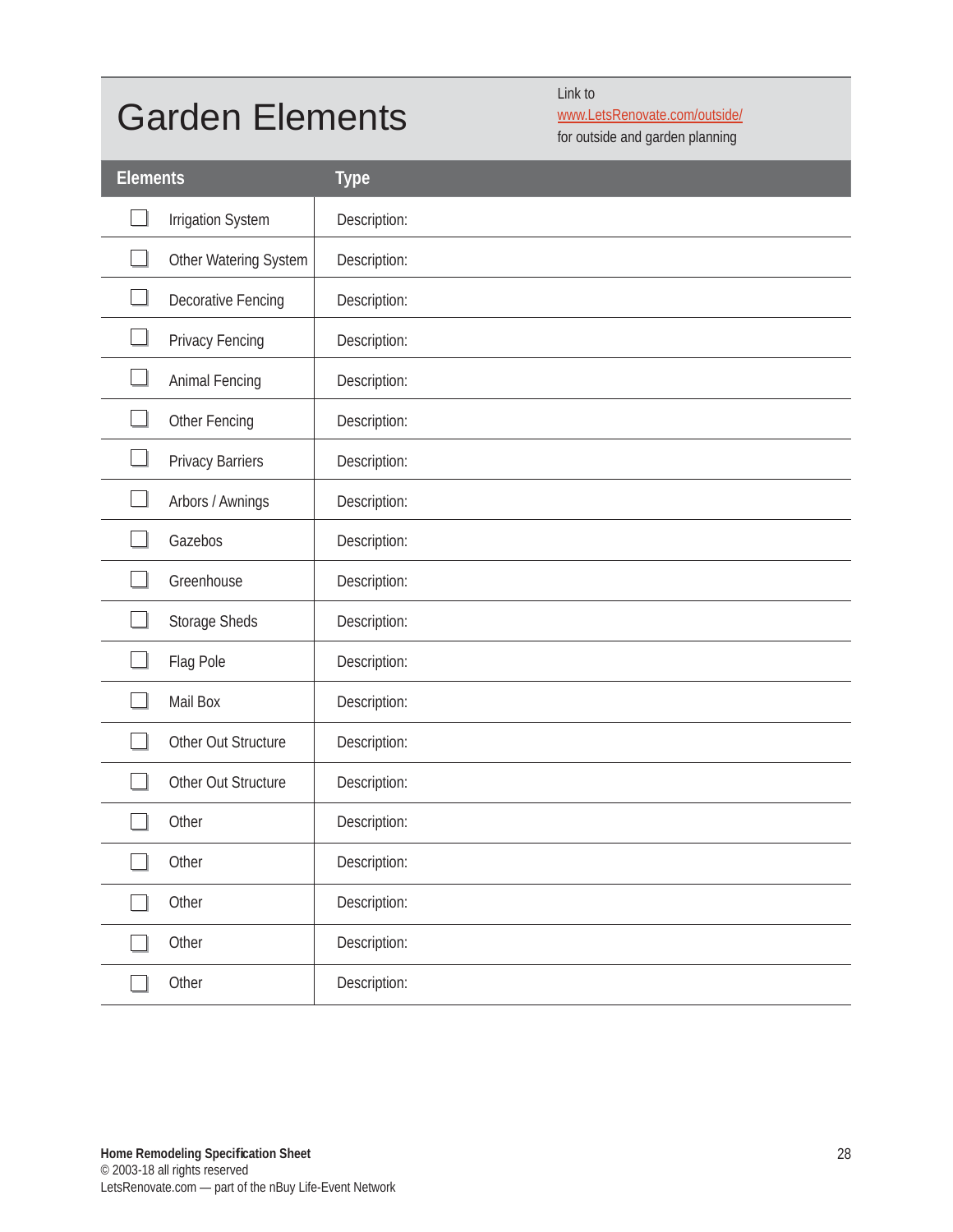#### Garden Elements

Link to www.LetsRenovate.com/outside/

for outside and garden planning

| <b>Elements</b> |                           | <b>Type</b>  |
|-----------------|---------------------------|--------------|
|                 | Irrigation System         | Description: |
|                 | Other Watering System     | Description: |
|                 | <b>Decorative Fencing</b> | Description: |
|                 | Privacy Fencing           | Description: |
|                 | Animal Fencing            | Description: |
|                 | Other Fencing             | Description: |
|                 | <b>Privacy Barriers</b>   | Description: |
|                 | Arbors / Awnings          | Description: |
|                 | Gazebos                   | Description: |
|                 | Greenhouse                | Description: |
|                 | Storage Sheds             | Description: |
|                 | Flag Pole                 | Description: |
|                 | Mail Box                  | Description: |
|                 | Other Out Structure       | Description: |
|                 | Other Out Structure       | Description: |
|                 | Other                     | Description: |
| $\Box$          | Other                     | Description: |
|                 | Other                     | Description: |
|                 | Other                     | Description: |
|                 | Other                     | Description: |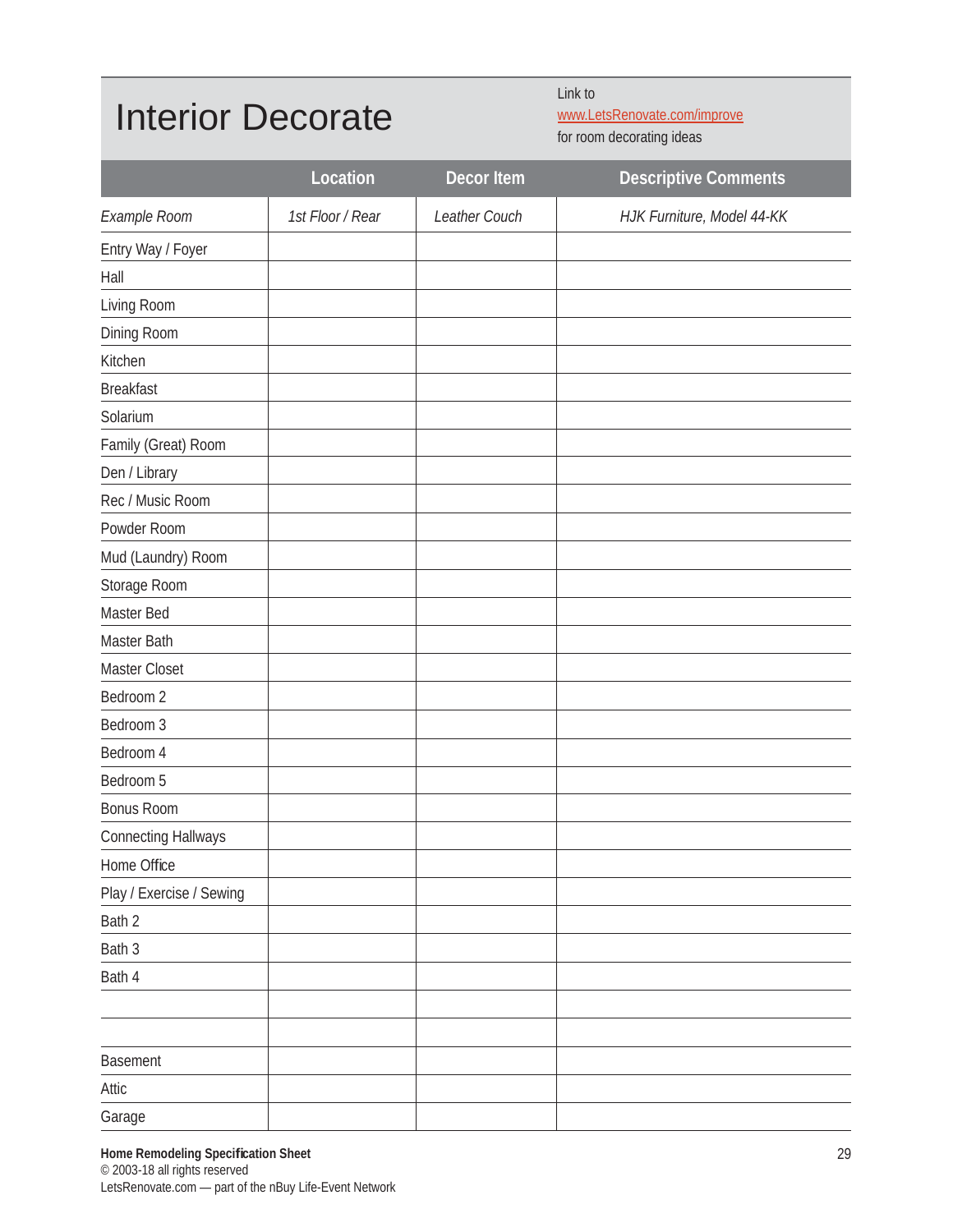#### Interior Decorate

Link to

www.LetsRenovate.com/improve

for room decorating ideas

|                            | Location         | Decor Item    | <b>Descriptive Comments</b> |
|----------------------------|------------------|---------------|-----------------------------|
| Example Room               | 1st Floor / Rear | Leather Couch | HJK Furniture, Model 44-KK  |
| Entry Way / Foyer          |                  |               |                             |
| Hall                       |                  |               |                             |
| Living Room                |                  |               |                             |
| Dining Room                |                  |               |                             |
| Kitchen                    |                  |               |                             |
| <b>Breakfast</b>           |                  |               |                             |
| Solarium                   |                  |               |                             |
| Family (Great) Room        |                  |               |                             |
| Den / Library              |                  |               |                             |
| Rec / Music Room           |                  |               |                             |
| Powder Room                |                  |               |                             |
| Mud (Laundry) Room         |                  |               |                             |
| Storage Room               |                  |               |                             |
| Master Bed                 |                  |               |                             |
| Master Bath                |                  |               |                             |
| Master Closet              |                  |               |                             |
| Bedroom 2                  |                  |               |                             |
| Bedroom 3                  |                  |               |                             |
| Bedroom 4                  |                  |               |                             |
| Bedroom 5                  |                  |               |                             |
| <b>Bonus Room</b>          |                  |               |                             |
| <b>Connecting Hallways</b> |                  |               |                             |
| Home Office                |                  |               |                             |
| Play / Exercise / Sewing   |                  |               |                             |
| Bath 2                     |                  |               |                             |
| Bath 3                     |                  |               |                             |
| Bath 4                     |                  |               |                             |
|                            |                  |               |                             |
|                            |                  |               |                             |
| Basement                   |                  |               |                             |
| Attic                      |                  |               |                             |
| Garage                     |                  |               |                             |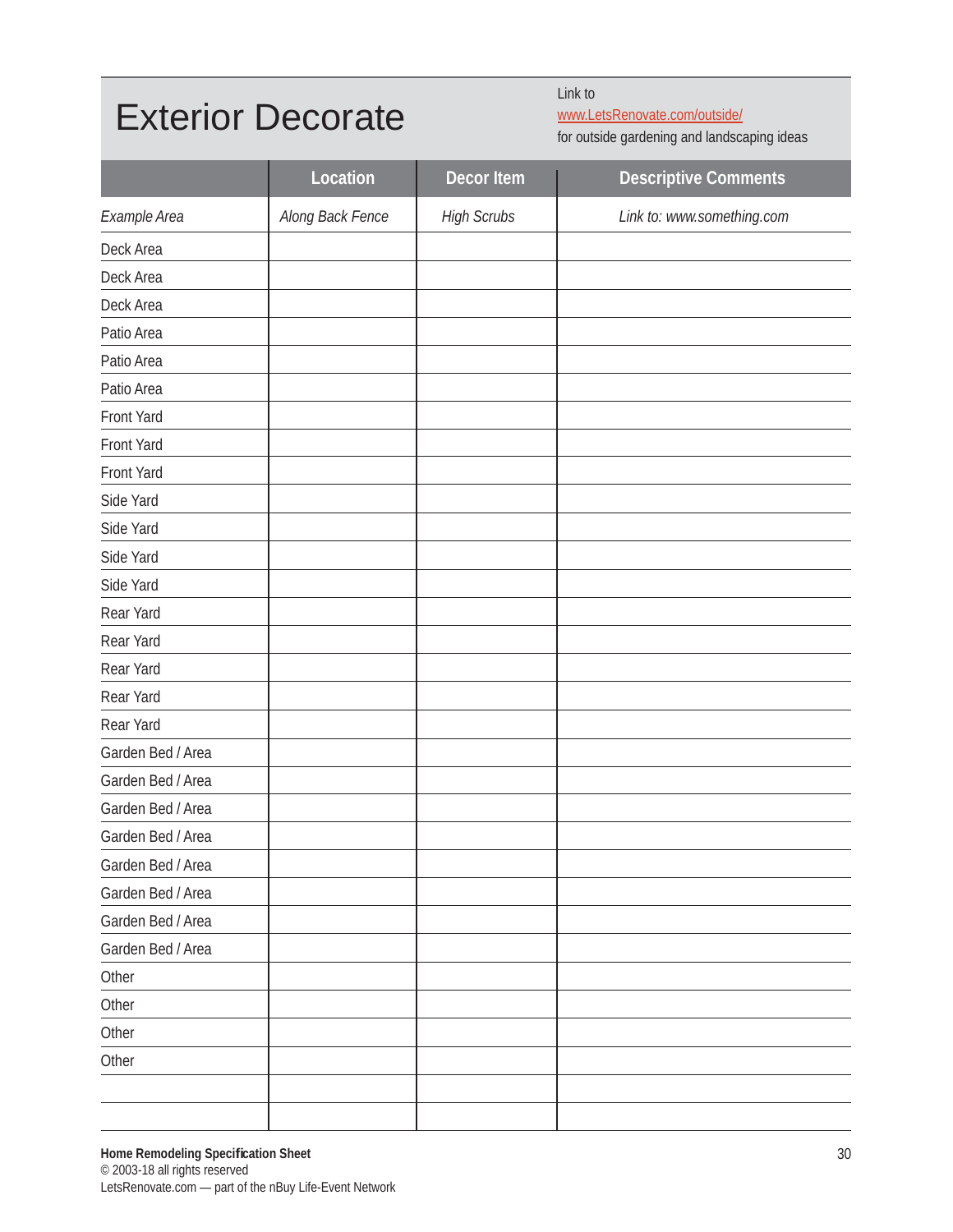#### Exterior Decorate

Link to

www.LetsRenovate.com/outside/ for outside gardening and landscaping ideas

|                   | Location         | <b>Decor Item</b>  | <b>Descriptive Comments</b> |
|-------------------|------------------|--------------------|-----------------------------|
| Example Area      | Along Back Fence | <b>High Scrubs</b> | Link to: www.something.com  |
| Deck Area         |                  |                    |                             |
| Deck Area         |                  |                    |                             |
| Deck Area         |                  |                    |                             |
| Patio Area        |                  |                    |                             |
| Patio Area        |                  |                    |                             |
| Patio Area        |                  |                    |                             |
| Front Yard        |                  |                    |                             |
| Front Yard        |                  |                    |                             |
| Front Yard        |                  |                    |                             |
| Side Yard         |                  |                    |                             |
| Side Yard         |                  |                    |                             |
| Side Yard         |                  |                    |                             |
| Side Yard         |                  |                    |                             |
| Rear Yard         |                  |                    |                             |
| Rear Yard         |                  |                    |                             |
| Rear Yard         |                  |                    |                             |
| Rear Yard         |                  |                    |                             |
| Rear Yard         |                  |                    |                             |
| Garden Bed / Area |                  |                    |                             |
| Garden Bed / Area |                  |                    |                             |
| Garden Bed / Area |                  |                    |                             |
| Garden Bed / Area |                  |                    |                             |
| Garden Bed / Area |                  |                    |                             |
| Garden Bed / Area |                  |                    |                             |
| Garden Bed / Area |                  |                    |                             |
| Garden Bed / Area |                  |                    |                             |
| Other             |                  |                    |                             |
| Other             |                  |                    |                             |
| Other             |                  |                    |                             |
| Other             |                  |                    |                             |
|                   |                  |                    |                             |
|                   |                  |                    |                             |